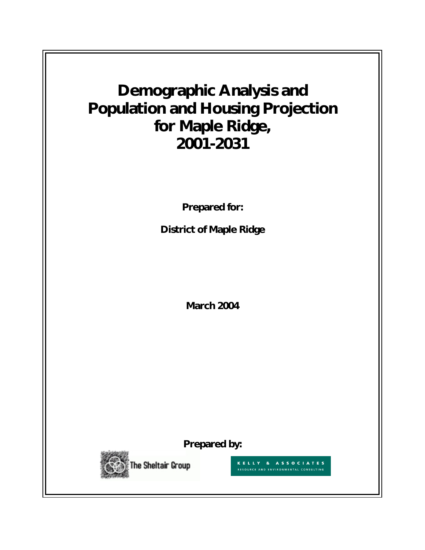# **Demographic Analysis and Population and Housing Projection for Maple Ridge, 2001-2031**

**Prepared for:** 

**District of Maple Ridge** 

**March 2004**

**Prepared by:** 



KELLY & ASSOCIATES RESOURCE AND ENVIRONMENTAL CONSULTING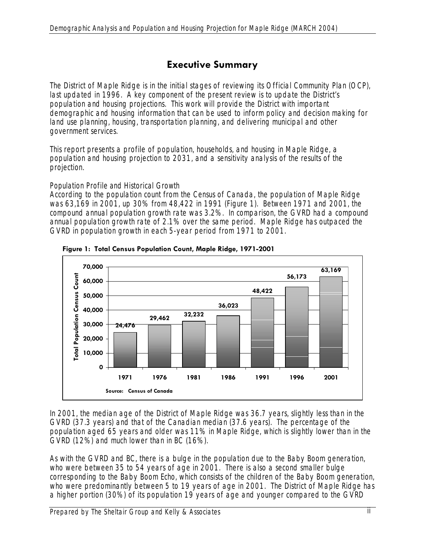# **Executive Summary**

The District of Maple Ridge is in the initial stages of reviewing its Official Community Plan (OCP), last updated in 1996. A key component of the present review is to update the District's population and housing projections. This work will provide the District with important demographic and housing information that can be used to inform policy and decision making for land use planning, housing, transportation planning, and delivering municipal and other government services.

This report presents a profile of population, households, and housing in Maple Ridge, a population and housing projection to 2031, and a sensitivity analysis of the results of the projection.

#### *Population Profile and Historical Growth*

According to the population count from the Census of Canada, the population of Maple Ridge was 63,169 in 2001, up 30% from 48,422 in 1991 (Figure 1). Between 1971 and 2001, the compound annual population growth rate was 3.2%. In comparison, the GVRD had a compound annual population growth rate of 2.1% over the same period. Maple Ridge has outpaced the GVRD in population growth in each 5-year period from 1971 to 2001.





In 2001, the median age of the District of Maple Ridge was 36.7 years, slightly less than in the GVRD (37.3 years) and that of the Canadian median (37.6 years). The percentage of the population aged 65 years and older was 11% in Maple Ridge, which is slightly lower than in the GVRD (12%) and much lower than in BC (16%).

As with the GVRD and BC, there is a bulge in the population due to the Baby Boom generation, who were between 35 to 54 years of age in 2001. There is also a second smaller bulge corresponding to the Baby Boom Echo, which consists of the children of the Baby Boom generation, who were predominantly between 5 to 19 years of age in 2001. The District of Maple Ridge has a higher portion (30%) of its population 19 years of age and younger compared to the GVRD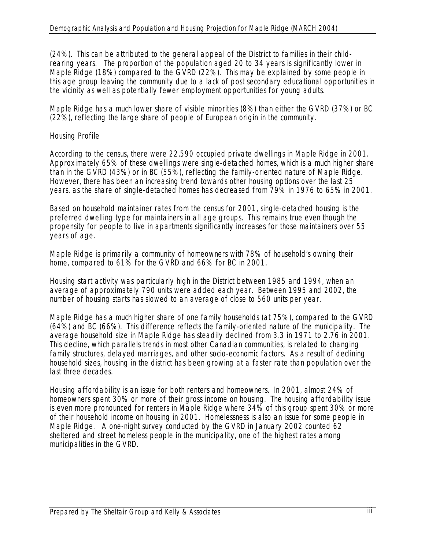(24%). This can be attributed to the general appeal of the District to families in their childrearing years. The proportion of the population aged 20 to 34 years is significantly lower in Maple Ridge (18%) compared to the GVRD (22%). This may be explained by some people in this age group leaving the community due to a lack of post secondary educational opportunities in the vicinity as well as potentially fewer employment opportunities for young adults.

Maple Ridge has a much lower share of visible minorities (8%) than either the GVRD (37%) or BC (22%), reflecting the large share of people of European origin in the community.

#### *Housing Profile*

According to the census, there were 22,590 occupied private dwellings in Maple Ridge in 2001. Approximately 65% of these dwellings were single-detached homes, which is a much higher share than in the GVRD (43%) or in BC (55%), reflecting the family-oriented nature of Maple Ridge. However, there has been an increasing trend towards other housing options over the last 25 years, as the share of single-detached homes has decreased from 79% in 1976 to 65% in 2001.

Based on household maintainer rates from the census for 2001, single-detached housing is the preferred dwelling type for maintainers in all age groups. This remains true even though the propensity for people to live in apartments significantly increases for those maintainers over 55 years of age.

Maple Ridge is primarily a community of homeowners with 78% of household's owning their home, compared to 61% for the GVRD and 66% for BC in 2001.

Housing start activity was particularly high in the District between 1985 and 1994, when an average of approximately 790 units were added each year. Between 1995 and 2002, the number of housing starts has slowed to an average of close to 560 units per year.

Maple Ridge has a much higher share of one family households (at 75%), compared to the GVRD (64%) and BC (66%). This difference reflects the family-oriented nature of the municipality. The average household size in Maple Ridge has steadily declined from 3.3 in 1971 to 2.76 in 2001. This decline, which parallels trends in most other Canadian communities, is related to changing family structures, delayed marriages, and other socio-economic factors. As a result of declining household sizes, housing in the district has been growing at a faster rate than population over the last three decades.

Housing affordability is an issue for both renters and homeowners. In 2001, almost 24% of homeowners spent 30% or more of their gross income on housing. The housing affordability issue is even more pronounced for renters in Maple Ridge where 34% of this group spent 30% or more of their household income on housing in 2001. Homelessness is also an issue for some people in Maple Ridge. A one-night survey conducted by the GVRD in January 2002 counted 62 sheltered and street homeless people in the municipality, one of the highest rates among municipalities in the GVRD.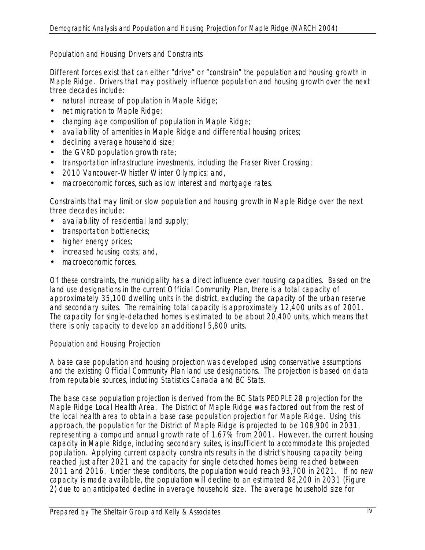### *Population and Housing Drivers and Constraints*

Different forces exist that can either "drive" or "constrain" the population and housing growth in Maple Ridge. Drivers that may positively influence population and housing growth over the next three decades include:

- natural increase of population in Maple Ridge;
- net migration to Maple Ridge;
- changing age composition of population in Maple Ridge;
- availability of amenities in Maple Ridge and differential housing prices;
- declining average household size;
- the GVRD population growth rate;
- transportation infrastructure investments, including the Fraser River Crossing;
- 2010 Vancouver-Whistler Winter Olympics; and,
- macroeconomic forces, such as low interest and mortgage rates.

Constraints that may limit or slow population and housing growth in Maple Ridge over the next three decades include:

- availability of residential land supply;
- transportation bottlenecks;
- higher energy prices;
- increased housing costs; and,
- macroeconomic forces.

Of these constraints, the municipality has a direct influence over housing capacities. Based on the land use designations in the current Official Community Plan, there is a total capacity of approximately 35,100 dwelling units in the district, excluding the capacity of the urban reserve and secondary suites. The remaining total capacity is approximately 12,400 units as of 2001. The capacity for single-detached homes is estimated to be about 20,400 units, which means that there is only capacity to develop an additional 5,800 units.

### *Population and Housing Projection*

A base case population and housing projection was developed using conservative assumptions and the existing Official Community Plan land use designations. The projection is based on data from reputable sources, including Statistics Canada and BC Stats.

The base case population projection is derived from the BC Stats PEOPLE 28 projection for the Maple Ridge Local Health Area. The District of Maple Ridge was factored out from the rest of the local health area to obtain a base case population projection for Maple Ridge. Using this approach, the population for the District of Maple Ridge is projected to be 108,900 in 2031, representing a compound annual growth rate of 1.67% from 2001. However, the current housing capacity in Maple Ridge, including secondary suites, is insufficient to accommodate this projected population. Applying current capacity constraints results in the district's housing capacity being reached just after 2021 and the capacity for single detached homes being reached between 2011 and 2016. Under these conditions, the population would reach 93,700 in 2021. If no new capacity is made available, the population will decline to an estimated 88,200 in 2031 (Figure 2) due to an anticipated decline in average household size. The average household size for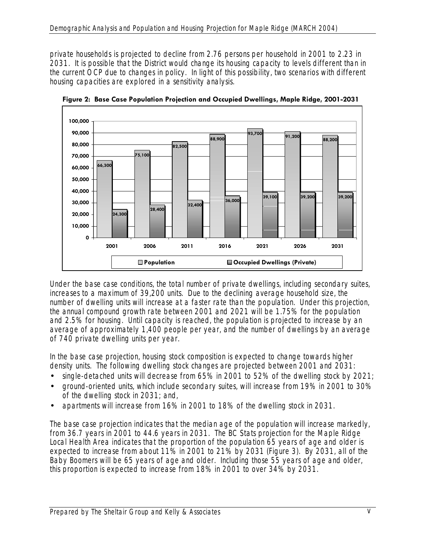private households is projected to decline from 2.76 persons per household in 2001 to 2.23 in 2031. It is possible that the District would change its housing capacity to levels different than in the current OCP due to changes in policy. In light of this possibility, two scenarios with different housing capacities are explored in a sensitivity analysis.



**Figure 2: Base Case Population Projection and Occupied Dwellings, Maple Ridge, 2001-2031** 

Under the base case conditions, the total number of private dwellings, including secondary suites, increases to a maximum of 39,200 units. Due to the declining average household size, the number of dwelling units will increase at a faster rate than the population. Under this projection, the annual compound growth rate between 2001 and 2021 will be 1.75% for the population and 2.5% for housing. Until capacity is reached, the population is projected to increase by an average of approximately 1,400 people per year, and the number of dwellings by an average of 740 private dwelling units per year.

In the base case projection, housing stock composition is expected to change towards higher density units. The following dwelling stock changes are projected between 2001 and 2031:

- single-detached units will decrease from 65% in 2001 to 52% of the dwelling stock by 2021;
- ground-oriented units, which include secondary suites, will increase from 19% in 2001 to 30% of the dwelling stock in 2031; and,
- apartments will increase from 16% in 2001 to 18% of the dwelling stock in 2031.

The base case projection indicates that the median age of the population will increase markedly, from 36.7 years in 2001 to 44.6 years in 2031. The BC Stats projection for the Maple Ridge Local Health Area indicates that the proportion of the population 65 years of age and older is expected to increase from about 11% in 2001 to 21% by 2031 (Figure 3). By 2031, all of the Baby Boomers will be 65 years of age and older. Including those 55 years of age and older, this proportion is expected to increase from 18% in 2001 to over 34% by 2031.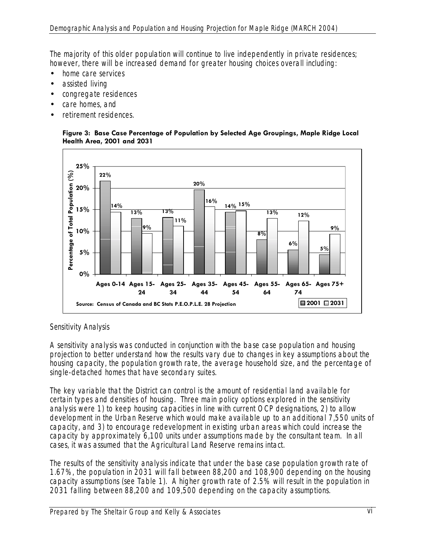The majority of this older population will continue to live independently in private residences; however, there will be increased demand for greater housing choices overall including:

- home care services
- assisted living
- congregate residences
- care homes, and
- retirement residences.

#### **Figure 3: Base Case Percentage of Population by Selected Age Groupings, Maple Ridge Local Health Area, 2001 and 2031**



### *Sensitivity Analysis*

A sensitivity analysis was conducted in conjunction with the base case population and housing projection to better understand how the results vary due to changes in key assumptions about the housing capacity, the population growth rate, the average household size, and the percentage of single-detached homes that have secondary suites.

The key variable that the District can control is the amount of residential land available for certain types and densities of housing. Three main policy options explored in the sensitivity analysis were 1) to keep housing capacities in line with current OCP designations, 2) to allow development in the Urban Reserve which would make available up to an additional 7,550 units of capacity, and 3) to encourage redevelopment in existing urban areas which could increase the capacity by approximately 6,100 units under assumptions made by the consultant team. In all cases, it was assumed that the Agricultural Land Reserve remains intact.

The results of the sensitivity analysis indicate that under the base case population growth rate of 1.67%, the population in 2031 will fall between 88,200 and 108,900 depending on the housing capacity assumptions (see Table 1). A higher growth rate of 2.5% will result in the population in 2031 falling between 88,200 and 109,500 depending on the capacity assumptions.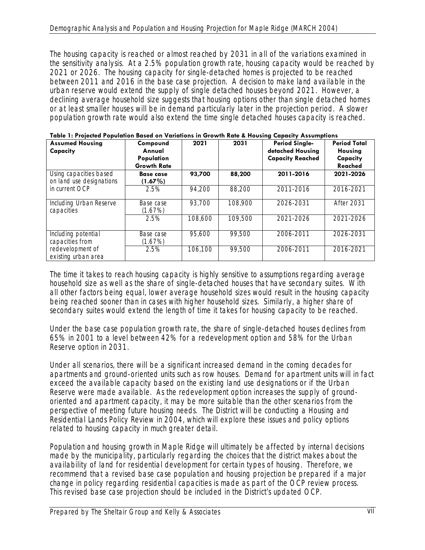The housing capacity is reached or almost reached by 2031 in all of the variations examined in the sensitivity analysis. At a 2.5% population growth rate, housing capacity would be reached by 2021 or 2026. The housing capacity for single-detached homes is projected to be reached between 2011 and 2016 in the base case projection. A decision to make land available in the urban reserve would extend the supply of single detached houses beyond 2021. However, a declining average household size suggests that housing options other than single detached homes or at least smaller houses will be in demand particularly later in the projection period. A slower population growth rate would also extend the time single detached houses capacity is reached.

| <b>Assumed Housing</b><br>Capacity                 | Compound<br>Annual<br>Population<br><b>Growth Rate</b> | 2021    | 2031    | <b>Period Single-</b><br>detached Housing<br><b>Capacity Reached</b> | <b>Period Total</b><br>Housing<br>Capacity<br>Reached |
|----------------------------------------------------|--------------------------------------------------------|---------|---------|----------------------------------------------------------------------|-------------------------------------------------------|
| Using capacities based<br>on land use designations | <b>Base case</b><br>$(1.67\%)$                         | 93,700  | 88,200  | 2011-2016                                                            | 2021-2026                                             |
| in current OCP                                     | 2.5%                                                   | 94,200  | 88,200  | 2011-2016                                                            | 2016-2021                                             |
| Including Urban Reserve<br>capacities              | Base case<br>(1.67%)                                   | 93,700  | 108,900 | 2026-2031                                                            | <b>After 2031</b>                                     |
|                                                    | 2.5%                                                   | 108,600 | 109,500 | $2021 - 2026$                                                        | 2021-2026                                             |
| Including potential<br>capacities from             | Base case<br>(1.67%)                                   | 95,600  | 99,500  | 2006-2011                                                            | 2026-2031                                             |
| redevelopment of<br>existing urban area            | 2.5%                                                   | 106,100 | 99,500  | 2006-2011                                                            | 2016-2021                                             |

|  |  |  | Table 1: Projected Population Based on Variations in Growth Rate & Housing Capacity Assumptions |  |
|--|--|--|-------------------------------------------------------------------------------------------------|--|
|  |  |  |                                                                                                 |  |

The time it takes to reach housing capacity is highly sensitive to assumptions regarding average household size as well as the share of single-detached houses that have secondary suites. With all other factors being equal, lower average household sizes would result in the housing capacity being reached sooner than in cases with higher household sizes. Similarly, a higher share of secondary suites would extend the length of time it takes for housing capacity to be reached.

Under the base case population growth rate, the share of single-detached houses declines from 65% in 2001 to a level between 42% for a redevelopment option and 58% for the Urban Reserve option in 2031.

Under all scenarios, there will be a significant increased demand in the coming decades for apartments and ground-oriented units such as row houses. Demand for apartment units will in fact exceed the available capacity based on the existing land use designations or if the Urban Reserve were made available. As the redevelopment option increases the supply of groundoriented and apartment capacity, it may be more suitable than the other scenarios from the perspective of meeting future housing needs. The District will be conducting a Housing and Residential Lands Policy Review in 2004, which will explore these issues and policy options related to housing capacity in much greater detail.

Population and housing growth in Maple Ridge will ultimately be affected by internal decisions made by the municipality, particularly regarding the choices that the district makes about the availability of land for residential development for certain types of housing. Therefore, we recommend that a revised base case population and housing projection be prepared if a major change in policy regarding residential capacities is made as part of the OCP review process. This revised base case projection should be included in the District's updated OCP.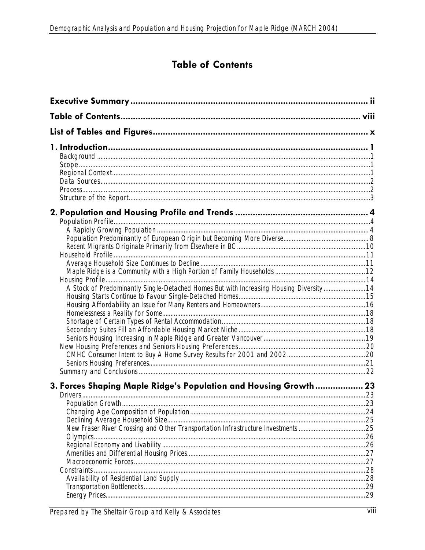# **Table of Contents**

| A Stock of Predominantly Single-Detached Homes But with Increasing Housing Diversity 14 |  |
|-----------------------------------------------------------------------------------------|--|
|                                                                                         |  |
|                                                                                         |  |
|                                                                                         |  |
|                                                                                         |  |
|                                                                                         |  |
|                                                                                         |  |
|                                                                                         |  |
|                                                                                         |  |
|                                                                                         |  |
| 3. Forces Shaping Maple Ridge's Population and Housing Growth  23                       |  |
|                                                                                         |  |
|                                                                                         |  |
|                                                                                         |  |
|                                                                                         |  |
| Olympics                                                                                |  |
|                                                                                         |  |
|                                                                                         |  |
|                                                                                         |  |
| Constraints                                                                             |  |
|                                                                                         |  |
|                                                                                         |  |
|                                                                                         |  |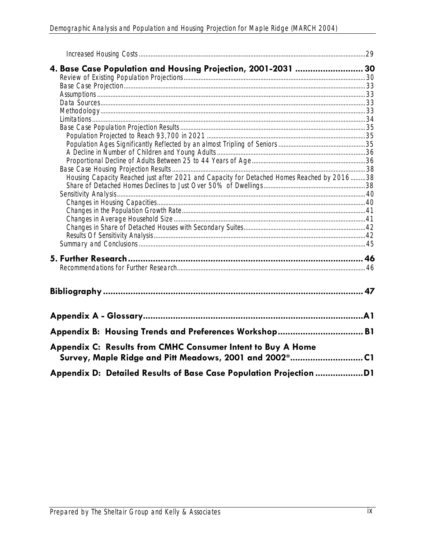| 4. Base Case Population and Housing Projection, 2001-2031  30                                                         |  |
|-----------------------------------------------------------------------------------------------------------------------|--|
|                                                                                                                       |  |
|                                                                                                                       |  |
|                                                                                                                       |  |
|                                                                                                                       |  |
|                                                                                                                       |  |
|                                                                                                                       |  |
|                                                                                                                       |  |
|                                                                                                                       |  |
|                                                                                                                       |  |
|                                                                                                                       |  |
|                                                                                                                       |  |
|                                                                                                                       |  |
| Housing Capacity Reached just after 2021 and Capacity for Detached Homes Reached by 201638                            |  |
|                                                                                                                       |  |
|                                                                                                                       |  |
|                                                                                                                       |  |
|                                                                                                                       |  |
|                                                                                                                       |  |
|                                                                                                                       |  |
|                                                                                                                       |  |
|                                                                                                                       |  |
|                                                                                                                       |  |
|                                                                                                                       |  |
|                                                                                                                       |  |
|                                                                                                                       |  |
| Appendix B: Housing Trends and Preferences Workshop B1                                                                |  |
| Appendix C: Results from CMHC Consumer Intent to Buy A Home<br>Survey, Maple Ridge and Pitt Meadows, 2001 and 2002*C1 |  |
|                                                                                                                       |  |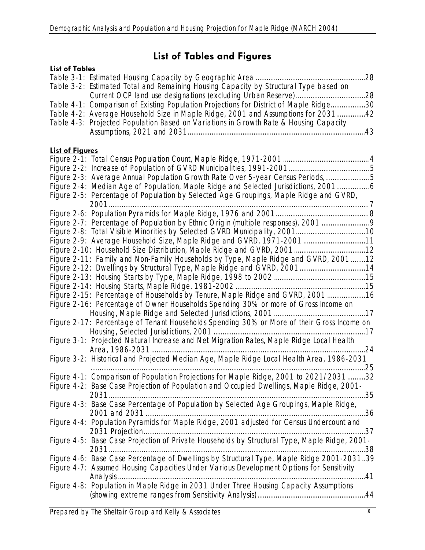# **List of Tables and Figures**

| <b>List of Tables</b>  |                                                                                               |     |
|------------------------|-----------------------------------------------------------------------------------------------|-----|
|                        |                                                                                               | .28 |
|                        | Table 3-2: Estimated Total and Remaining Housing Capacity by Structural Type based on         |     |
|                        |                                                                                               |     |
|                        | Table 4-1: Comparison of Existing Population Projections for District of Maple Ridge30        |     |
|                        | Table 4-2: Average Household Size in Maple Ridge, 2001 and Assumptions for 203142             |     |
|                        | Table 4-3: Projected Population Based on Variations in Growth Rate & Housing Capacity         |     |
|                        |                                                                                               |     |
|                        |                                                                                               |     |
| <b>List of Figures</b> |                                                                                               |     |
|                        |                                                                                               |     |
|                        |                                                                                               |     |
|                        | Figure 2-3: Average Annual Population Growth Rate Over 5-year Census Periods,5                |     |
|                        | Figure 2-4: Median Age of Population, Maple Ridge and Selected Jurisdictions, 2001            |     |
|                        | Figure 2-5: Percentage of Population by Selected Age Groupings, Maple Ridge and GVRD,         |     |
|                        |                                                                                               |     |
|                        |                                                                                               |     |
|                        | Figure 2-7: Percentage of Population by Ethnic Origin (multiple responses), 2001              |     |
|                        |                                                                                               |     |
|                        | Figure 2-9: Average Household Size, Maple Ridge and GVRD, 1971-2001 11                        |     |
|                        |                                                                                               |     |
|                        | Figure 2-11: Family and Non-Family Households by Type, Maple Ridge and GVRD, 2001 12          |     |
|                        | Figure 2-12: Dwellings by Structural Type, Maple Ridge and GVRD, 200114                       |     |
|                        |                                                                                               |     |
|                        |                                                                                               |     |
|                        | Figure 2-15: Percentage of Households by Tenure, Maple Ridge and GVRD, 2001 16                |     |
|                        | Figure 2-16: Percentage of Owner Households Spending 30% or more of Gross Income on           |     |
|                        |                                                                                               |     |
|                        | Figure 2-17: Percentage of Tenant Households Spending 30% or More of their Gross Income on    |     |
|                        |                                                                                               |     |
|                        | Figure 3-1: Projected Natural Increase and Net Migration Rates, Maple Ridge Local Health      |     |
|                        |                                                                                               |     |
|                        |                                                                                               |     |
|                        | Figure 3-2: Historical and Projected Median Age, Maple Ridge Local Health Area, 1986-2031     |     |
|                        |                                                                                               |     |
|                        | Figure 4-1: Comparison of Population Projections for Maple Ridge, 2001 to 2021/203132         |     |
|                        | Figure 4-2: Base Case Projection of Population and Occupied Dwellings, Maple Ridge, 2001-     |     |
|                        | Figure 4-3: Base Case Percentage of Population by Selected Age Groupings, Maple Ridge,        |     |
|                        |                                                                                               |     |
|                        |                                                                                               |     |
|                        | Figure 4-4: Population Pyramids for Maple Ridge, 2001 adjusted for Census Undercount and      |     |
|                        |                                                                                               |     |
|                        | Figure 4-5: Base Case Projection of Private Households by Structural Type, Maple Ridge, 2001- |     |
|                        |                                                                                               |     |
|                        | Figure 4-6: Base Case Percentage of Dwellings by Structural Type, Maple Ridge 2001-203139     |     |
|                        | Figure 4-7: Assumed Housing Capacities Under Various Development Options for Sensitivity      |     |
|                        |                                                                                               |     |
|                        | Figure 4-8: Population in Maple Ridge in 2031 Under Three Housing Capacity Assumptions        |     |
|                        |                                                                                               |     |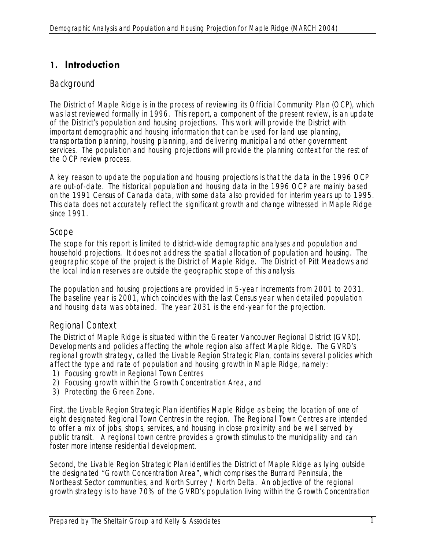# **1. Introduction**

# **Background**

The District of Maple Ridge is in the process of reviewing its Official Community Plan (OCP), which was last reviewed formally in 1996. This report, a component of the present review, is an update of the District's population and housing projections. This work will provide the District with important demographic and housing information that can be used for land use planning, transportation planning, housing planning, and delivering municipal and other government services. The population and housing projections will provide the planning context for the rest of the OCP review process.

A key reason to update the population and housing projections is that the data in the 1996 OCP are out-of-date. The historical population and housing data in the 1996 OCP are mainly based on the 1991 Census of Canada data, with some data also provided for interim years up to 1995. This data does not accurately reflect the significant growth and change witnessed in Maple Ridge since 1991.

### Scope

The scope for this report is limited to district-wide demographic analyses and population and household projections. It does not address the spatial allocation of population and housing. The geographic scope of the project is the District of Maple Ridge. The District of Pitt Meadows and the local Indian reserves are outside the geographic scope of this analysis.

The population and housing projections are provided in 5-year increments from 2001 to 2031. The baseline year is 2001, which coincides with the last Census year when detailed population and housing data was obtained. The year 2031 is the end-year for the projection.

# Regional Context

The District of Maple Ridge is situated within the Greater Vancouver Regional District (GVRD). Developments and policies affecting the whole region also affect Maple Ridge. The GVRD's regional growth strategy, called the Livable Region Strategic Plan, contains several policies which affect the type and rate of population and housing growth in Maple Ridge, namely:

- 1) Focusing growth in Regional Town Centres
- 2) Focusing growth within the Growth Concentration Area, and
- 3) Protecting the Green Zone.

First, the Livable Region Strategic Plan identifies Maple Ridge as being the location of one of eight designated Regional Town Centres in the region. The Regional Town Centres are intended to offer a mix of jobs, shops, services, and housing in close proximity and be well served by public transit. A regional town centre provides a growth stimulus to the municipality and can foster more intense residential development.

Second, the Livable Region Strategic Plan identifies the District of Maple Ridge as lying outside the designated "Growth Concentration Area", which comprises the Burrard Peninsula, the Northeast Sector communities, and North Surrey / North Delta. An objective of the regional growth strategy is to have 70% of the GVRD's population living within the Growth Concentration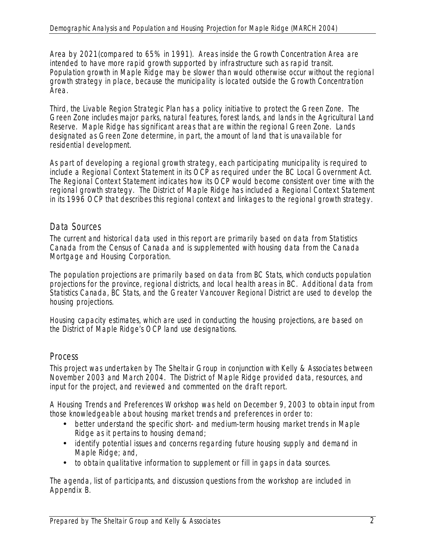Area by 2021(compared to 65% in 1991). Areas inside the Growth Concentration Area are intended to have more rapid growth supported by infrastructure such as rapid transit. Population growth in Maple Ridge may be slower than would otherwise occur without the regional growth strategy in place, because the municipality is located outside the Growth Concentration Area.

Third, the Livable Region Strategic Plan has a policy initiative to protect the Green Zone. The Green Zone includes major parks, natural features, forest lands, and lands in the Agricultural Land Reserve. Maple Ridge has significant areas that are within the regional Green Zone. Lands designated as Green Zone determine, in part, the amount of land that is unavailable for residential development.

As part of developing a regional growth strategy, each participating municipality is required to include a Regional Context Statement in its OCP as required under the BC Local Government Act. The Regional Context Statement indicates how its OCP would become consistent over time with the regional growth strategy. The District of Maple Ridge has included a Regional Context Statement in its 1996 OCP that describes this regional context and linkages to the regional growth strategy.

# Data Sources

The current and historical data used in this report are primarily based on data from Statistics Canada from the Census of Canada and is supplemented with housing data from the Canada Mortgage and Housing Corporation.

The population projections are primarily based on data from BC Stats, which conducts population projections for the province, regional districts, and local health areas in BC. Additional data from Statistics Canada, BC Stats, and the Greater Vancouver Regional District are used to develop the housing projections.

Housing capacity estimates, which are used in conducting the housing projections, are based on the District of Maple Ridge's OCP land use designations.

### **Process**

This project was undertaken by The Sheltair Group in conjunction with Kelly & Associates between November 2003 and March 2004. The District of Maple Ridge provided data, resources, and input for the project, and reviewed and commented on the draft report.

A Housing Trends and Preferences Workshop was held on December 9, 2003 to obtain input from those knowledgeable about housing market trends and preferences in order to:

- better understand the specific short- and medium-term housing market trends in Maple Ridge as it pertains to housing demand;
- identify potential issues and concerns regarding future housing supply and demand in Maple Ridge; and,
- to obtain qualitative information to supplement or fill in gaps in data sources.

The agenda, list of participants, and discussion questions from the workshop are included in Appendix B.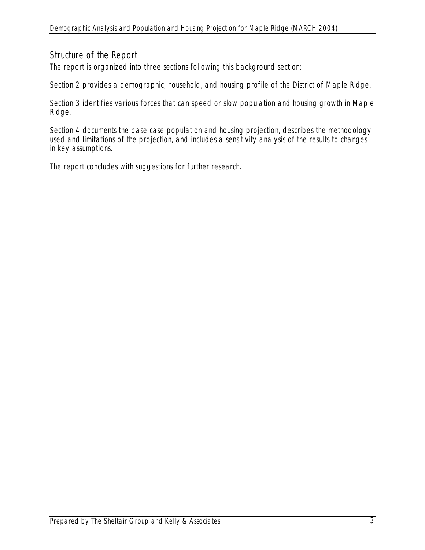# Structure of the Report

The report is organized into three sections following this background section:

Section 2 provides a demographic, household, and housing profile of the District of Maple Ridge.

Section 3 identifies various forces that can speed or slow population and housing growth in Maple Ridge.

Section 4 documents the base case population and housing projection, describes the methodology used and limitations of the projection, and includes a sensitivity analysis of the results to changes in key assumptions.

The report concludes with suggestions for further research.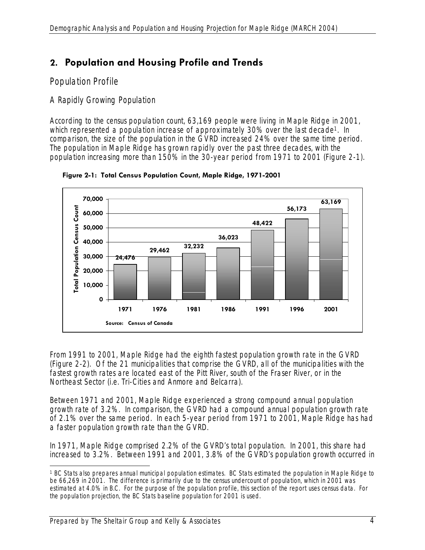# **2. Population and Housing Profile and Trends**

# Population Profile

# *A Rapidly Growing Population*

According to the census population count, 63,169 people were living in Maple Ridge in 2001, which represented a population increase of approximately 30% over the last decade<sup>1</sup>. In comparison, the size of the population in the GVRD increased 24% over the same time period. The population in Maple Ridge has grown rapidly over the past three decades, with the population increasing more than 150% in the 30-year period from 1971 to 2001 (Figure 2-1).



**Figure 2-1: Total Census Population Count, Maple Ridge, 1971-2001** 

From 1991 to 2001, Maple Ridge had the eighth fastest population growth rate in the GVRD (Figure 2-2). Of the 21 municipalities that comprise the GVRD, all of the municipalities with the fastest growth rates are located east of the Pitt River, south of the Fraser River, or in the Northeast Sector (i.e. Tri-Cities and Anmore and Belcarra).

Between 1971 and 2001, Maple Ridge experienced a strong compound annual population growth rate of 3.2%. In comparison, the GVRD had a compound annual population growth rate of 2.1% over the same period. In each 5-year period from 1971 to 2001, Maple Ridge has had a faster population growth rate than the GVRD.

In 1971, Maple Ridge comprised 2.2% of the GVRD's total population. In 2001, this share had increased to 3.2%. Between 1991 and 2001, 3.8% of the GVRD's population growth occurred in

 $\overline{a}$ 1 BC Stats also prepares annual municipal population estimates. BC Stats estimated the population in Maple Ridge to be 66,269 in 2001. The difference is primarily due to the census undercount of population, which in 2001 was estimated at 4.0% in B.C. For the purpose of the population profile, this section of the report uses census data. For the population projection, the BC Stats baseline population for 2001 is used.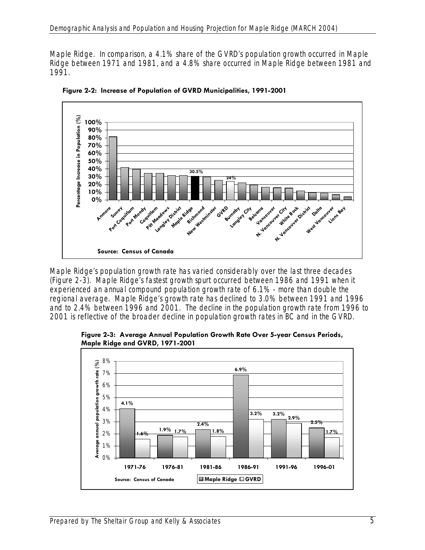Maple Ridge. In comparison, a 4.1% share of the GVRD's population growth occurred in Maple Ridge between 1971 and 1981, and a 4.8% share occurred in Maple Ridge between 1981 and 1991.



**Figure 2-2: Increase of Population of GVRD Municipalities, 1991-2001** 

Maple Ridge's population growth rate has varied considerably over the last three decades (Figure 2-3). Maple Ridge's fastest growth spurt occurred between 1986 and 1991 when it experienced an annual compound population growth rate of 6.1% - more than double the regional average. Maple Ridge's growth rate has declined to 3.0% between 1991 and 1996 and to 2.4% between 1996 and 2001. The decline in the population growth rate from 1996 to 2001 is reflective of the broader decline in population growth rates in BC and in the GVRD.

**Figure 2-3: Average Annual Population Growth Rate Over 5-year Census Periods, Maple Ridge and GVRD, 1971-2001** 

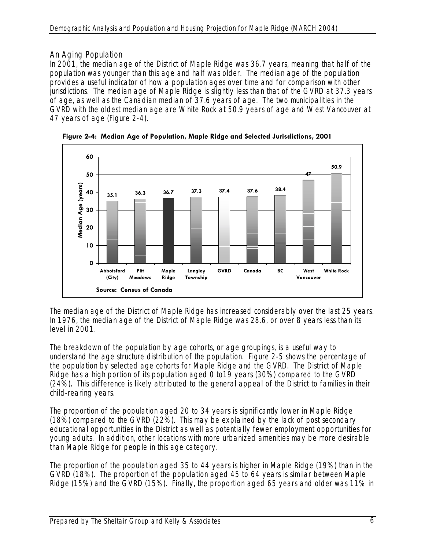# *An Aging Population*

In 2001, the median age of the District of Maple Ridge was 36.7 years, meaning that half of the population was younger than this age and half was older. The median age of the population provides a useful indicator of how a population ages over time and for comparison with other jurisdictions. The median age of Maple Ridge is slightly less than that of the GVRD at 37.3 years of age, as well as the Canadian median of 37.6 years of age. The two municipalities in the GVRD with the oldest median age are White Rock at 50.9 years of age and West Vancouver at 47 years of age (Figure 2-4).



**Figure 2-4: Median Age of Population, Maple Ridge and Selected Jurisdictions, 2001** 

The median age of the District of Maple Ridge has increased considerably over the last 25 years. In 1976, the median age of the District of Maple Ridge was 28.6, or over 8 years less than its level in 2001.

The breakdown of the population by age cohorts, or age groupings, is a useful way to understand the age structure distribution of the population. Figure 2-5 shows the percentage of the population by selected age cohorts for Maple Ridge and the GVRD. The District of Maple Ridge has a high portion of its population aged 0 to19 years (30%) compared to the GVRD (24%). This difference is likely attributed to the general appeal of the District to families in their child-rearing years.

The proportion of the population aged 20 to 34 years is significantly lower in Maple Ridge (18%) compared to the GVRD (22%). This may be explained by the lack of post secondary educational opportunities in the District as well as potentially fewer employment opportunities for young adults. In addition, other locations with more urbanized amenities may be more desirable than Maple Ridge for people in this age category.

The proportion of the population aged 35 to 44 years is higher in Maple Ridge (19%) than in the GVRD (18%). The proportion of the population aged 45 to 64 years is similar between Maple Ridge (15%) and the GVRD (15%). Finally, the proportion aged 65 years and older was 11% in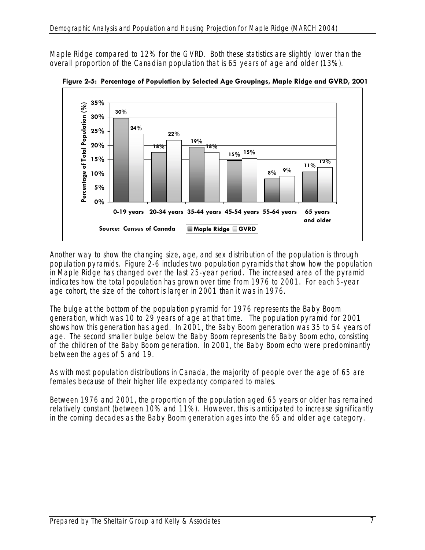Maple Ridge compared to 12% for the GVRD. Both these statistics are slightly lower than the overall proportion of the Canadian population that is 65 years of age and older (13%).



**Figure 2-5: Percentage of Population by Selected Age Groupings, Maple Ridge and GVRD, 2001** 

Another way to show the changing size, age, and sex distribution of the population is through population pyramids. Figure 2-6 includes two population pyramids that show how the population in Maple Ridge has changed over the last 25-year period. The increased area of the pyramid indicates how the total population has grown over time from 1976 to 2001. For each 5-year age cohort, the size of the cohort is larger in 2001 than it was in 1976.

The bulge at the bottom of the population pyramid for 1976 represents the Baby Boom generation, which was 10 to 29 years of age at that time. The population pyramid for 2001 shows how this generation has aged. In 2001, the Baby Boom generation was 35 to 54 years of age. The second smaller bulge below the Baby Boom represents the Baby Boom echo, consisting of the children of the Baby Boom generation. In 2001, the Baby Boom echo were predominantly between the ages of 5 and 19.

As with most population distributions in Canada, the majority of people over the age of 65 are females because of their higher life expectancy compared to males.

Between 1976 and 2001, the proportion of the population aged 65 years or older has remained relatively constant (between 10% and 11%). However, this is anticipated to increase significantly in the coming decades as the Baby Boom generation ages into the 65 and older age category.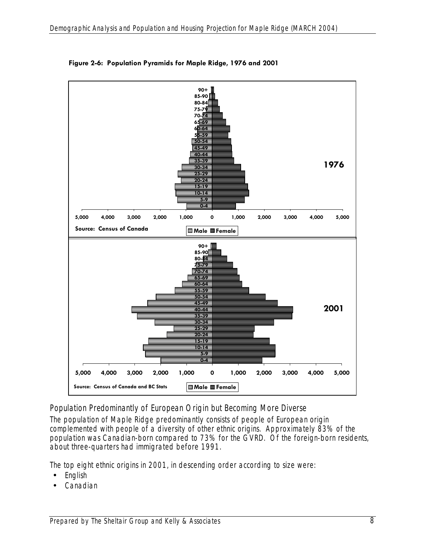

**Figure 2-6: Population Pyramids for Maple Ridge, 1976 and 2001** 

# *Population Predominantly of European Origin but Becoming More Diverse*

The population of Maple Ridge predominantly consists of people of European origin complemented with people of a diversity of other ethnic origins. Approximately 83% of the population was Canadian-born compared to 73% for the GVRD. Of the foreign-born residents, about three-quarters had immigrated before 1991.

The top eight ethnic origins in 2001, in descending order according to size were:

- English
- Canadian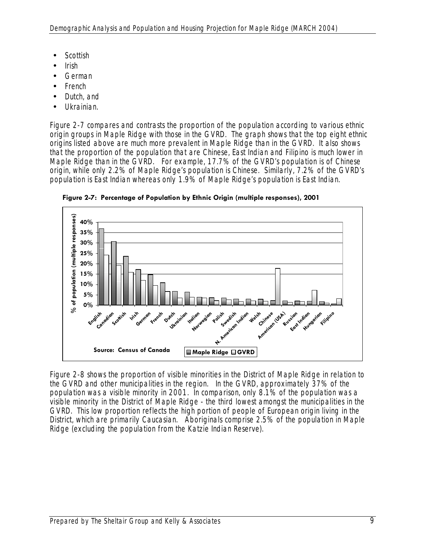- Scottish
- Irish
- German
- French
- Dutch, and
- Ukrainian.

Figure 2-7 compares and contrasts the proportion of the population according to various ethnic origin groups in Maple Ridge with those in the GVRD. The graph shows that the top eight ethnic origins listed above are much more prevalent in Maple Ridge than in the GVRD. It also shows that the proportion of the population that are Chinese, East Indian and Filipino is much lower in Maple Ridge than in the GVRD. For example, 17.7% of the GVRD's population is of Chinese origin, while only 2.2% of Maple Ridge's population is Chinese. Similarly, 7.2% of the GVRD's population is East Indian whereas only 1.9% of Maple Ridge's population is East Indian.



**Figure 2-7: Percentage of Population by Ethnic Origin (multiple responses), 2001** 

Figure 2-8 shows the proportion of visible minorities in the District of Maple Ridge in relation to the GVRD and other municipalities in the region. In the GVRD, approximately 37% of the population was a visible minority in 2001. In comparison, only 8.1% of the population was a visible minority in the District of Maple Ridge - the third lowest amongst the municipalities in the GVRD. This low proportion reflects the high portion of people of European origin living in the District, which are primarily Caucasian. Aboriginals comprise 2.5% of the population in Maple Ridge (excluding the population from the Katzie Indian Reserve).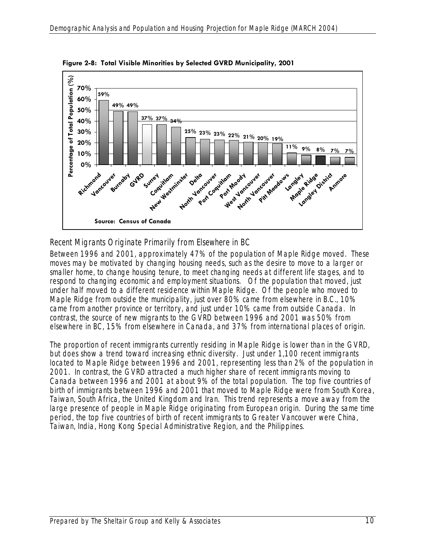

**Figure 2-8: Total Visible Minorities by Selected GVRD Municipality, 2001** 

# *Recent Migrants Originate Primarily from Elsewhere in BC*

Between 1996 and 2001, approximately 47% of the population of Maple Ridge moved. These moves may be motivated by changing housing needs, such as the desire to move to a larger or smaller home, to change housing tenure, to meet changing needs at different life stages, and to respond to changing economic and employment situations. Of the population that moved, just under half moved to a different residence within Maple Ridge. Of the people who moved to Maple Ridge from outside the municipality, just over 80% came from elsewhere in B.C., 10% came from another province or territory, and just under 10% came from outside Canada. In contrast, the source of new migrants to the GVRD between 1996 and 2001 was 50% from elsewhere in BC, 15% from elsewhere in Canada, and 37% from international places of origin.

The proportion of recent immigrants currently residing in Maple Ridge is lower than in the GVRD, but does show a trend toward increasing ethnic diversity. Just under 1,100 recent immigrants located to Maple Ridge between 1996 and 2001, representing less than 2% of the population in 2001. In contrast, the GVRD attracted a much higher share of recent immigrants moving to Canada between 1996 and 2001 at about 9% of the total population. The top five countries of birth of immigrants between 1996 and 2001 that moved to Maple Ridge were from South Korea, Taiwan, South Africa, the United Kingdom and Iran. This trend represents a move away from the large presence of people in Maple Ridge originating from European origin. During the same time period, the top five countries of birth of recent immigrants to Greater Vancouver were China, Taiwan, India, Hong Kong Special Administrative Region, and the Philippines.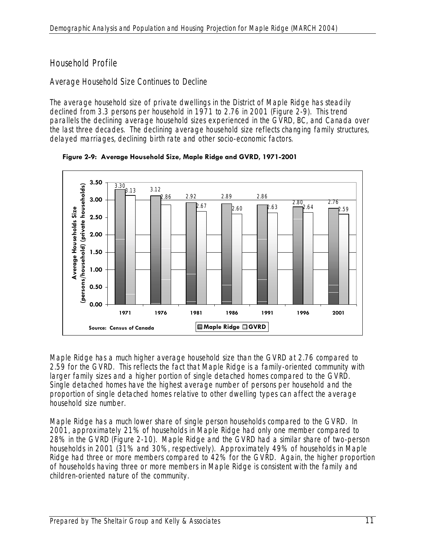# Household Profile

# *Average Household Size Continues to Decline*

The average household size of private dwellings in the District of Maple Ridge has steadily declined from 3.3 persons per household in 1971 to 2.76 in 2001 (Figure 2-9). This trend parallels the declining average household sizes experienced in the GVRD, BC, and Canada over the last three decades. The declining average household size reflects changing family structures, delayed marriages, declining birth rate and other socio-economic factors.



**Figure 2-9: Average Household Size, Maple Ridge and GVRD, 1971-2001** 

Maple Ridge has a much higher average household size than the GVRD at 2.76 compared to 2.59 for the GVRD. This reflects the fact that Maple Ridge is a family-oriented community with larger family sizes and a higher portion of single detached homes compared to the GVRD. Single detached homes have the highest average number of persons per household and the proportion of single detached homes relative to other dwelling types can affect the average household size number.

Maple Ridge has a much lower share of single person households compared to the GVRD. In 2001, approximately 21% of households in Maple Ridge had only one member compared to 28% in the GVRD (Figure 2-10). Maple Ridge and the GVRD had a similar share of two-person households in 2001 (31% and 30%, respectively). Approximately 49% of households in Maple Ridge had three or more members compared to 42% for the GVRD. Again, the higher proportion of households having three or more members in Maple Ridge is consistent with the family and children-oriented nature of the community.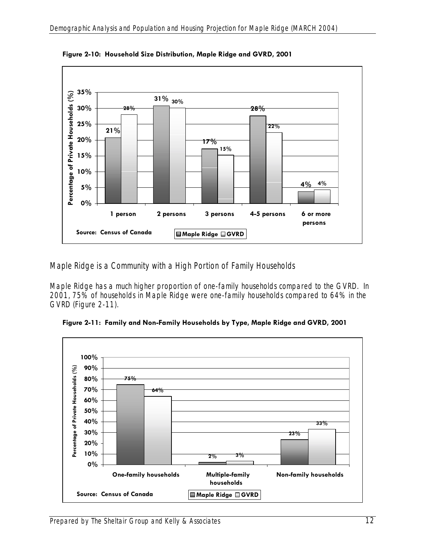

**Figure 2-10: Household Size Distribution, Maple Ridge and GVRD, 2001** 

# *Maple Ridge is a Community with a High Portion of Family Households*

Maple Ridge has a much higher proportion of one-family households compared to the GVRD. In 2001, 75% of households in Maple Ridge were one-family households compared to 64% in the GVRD (Figure 2-11).



**Figure 2-11: Family and Non-Family Households by Type, Maple Ridge and GVRD, 2001**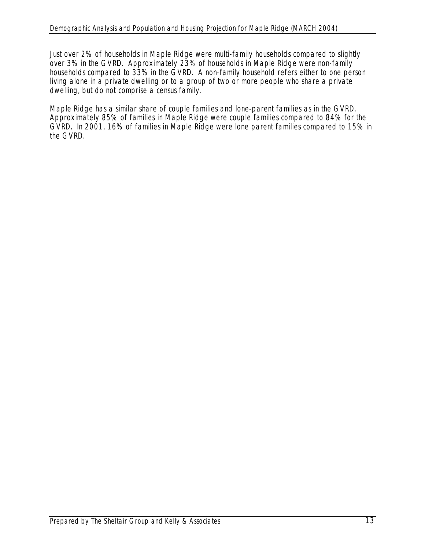Just over 2% of households in Maple Ridge were multi-family households compared to slightly over 3% in the GVRD. Approximately 23% of households in Maple Ridge were non-family households compared to 33% in the GVRD. A non-family household refers either to one person living alone in a private dwelling or to a group of two or more people who share a private dwelling, but do not comprise a census family.

Maple Ridge has a similar share of couple families and lone-parent families as in the GVRD. Approximately 85% of families in Maple Ridge were couple families compared to 84% for the GVRD. In 2001, 16% of families in Maple Ridge were lone parent families compared to 15% in the GVRD.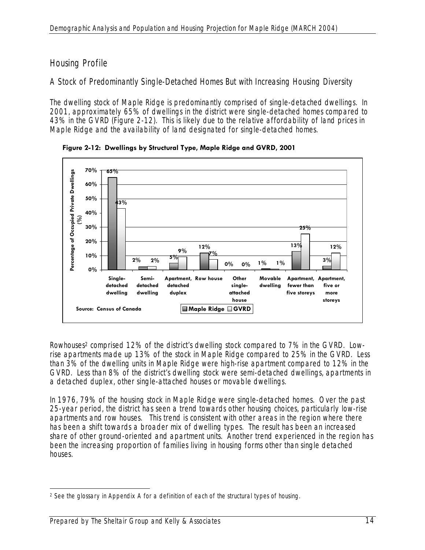# Housing Profile

# *A Stock of Predominantly Single-Detached Homes But with Increasing Housing Diversity*

The dwelling stock of Maple Ridge is predominantly comprised of single-detached dwellings. In 2001, approximately 65% of dwellings in the district were single-detached homes compared to 43% in the GVRD (Figure 2-12). This is likely due to the relative affordability of land prices in Maple Ridge and the availability of land designated for single-detached homes.



**Figure 2-12: Dwellings by Structural Type, Maple Ridge and GVRD, 2001** 

Rowhouses2 comprised 12% of the district's dwelling stock compared to 7% in the GVRD. Lowrise apartments made up 13% of the stock in Maple Ridge compared to 25% in the GVRD. Less than 3% of the dwelling units in Maple Ridge were high-rise apartment compared to 12% in the GVRD. Less than 8% of the district's dwelling stock were semi-detached dwellings, apartments in a detached duplex, other single-attached houses or movable dwellings.

In 1976, 79% of the housing stock in Maple Ridge were single-detached homes. Over the past 25-year period, the district has seen a trend towards other housing choices, particularly low-rise apartments and row houses. This trend is consistent with other areas in the region where there has been a shift towards a broader mix of dwelling types. The result has been an increased share of other ground-oriented and apartment units. Another trend experienced in the region has been the increasing proportion of families living in housing forms other than single detached houses.

 $\overline{a}$ <sup>2</sup> See the glossary in Appendix A for a definition of each of the structural types of housing.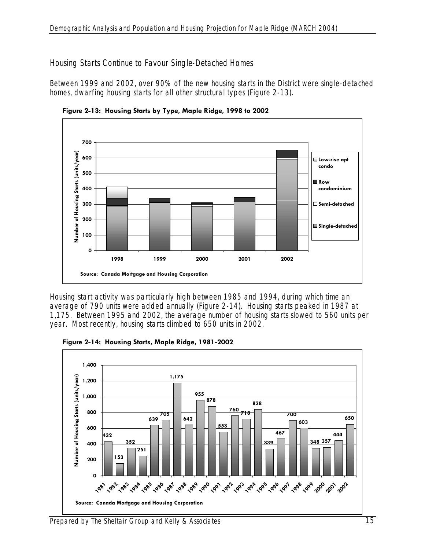#### *Housing Starts Continue to Favour Single-Detached Homes*

Between 1999 and 2002, over 90% of the new housing starts in the District were single-detached homes, dwarfing housing starts for all other structural types (Figure 2-13).



**Figure 2-13: Housing Starts by Type, Maple Ridge, 1998 to 2002** 

Housing start activity was particularly high between 1985 and 1994, during which time an average of 790 units were added annually (Figure 2-14). Housing starts peaked in 1987 at 1,175. Between 1995 and 2002, the average number of housing starts slowed to 560 units per year. Most recently, housing starts climbed to 650 units in 2002.



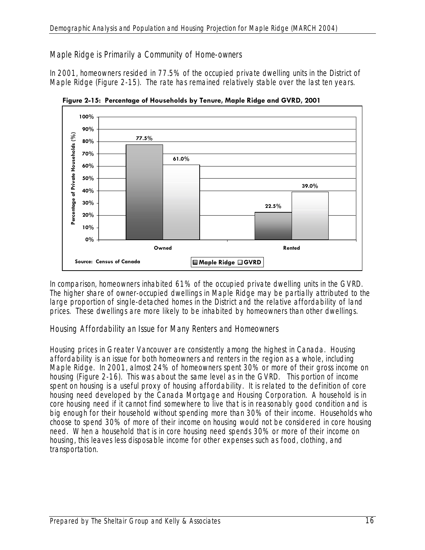# *Maple Ridge is Primarily a Community of Home-owners*

In 2001, homeowners resided in 77.5% of the occupied private dwelling units in the District of Maple Ridge (Figure 2-15). The rate has remained relatively stable over the last ten years.



**Figure 2-15: Percentage of Households by Tenure, Maple Ridge and GVRD, 2001** 

In comparison, homeowners inhabited 61% of the occupied private dwelling units in the GVRD. The higher share of owner-occupied dwellings in Maple Ridge may be partially attributed to the large proportion of single-detached homes in the District and the relative affordability of land prices. These dwellings are more likely to be inhabited by homeowners than other dwellings.

### *Housing Affordability an Issue for Many Renters and Homeowners*

Housing prices in Greater Vancouver are consistently among the highest in Canada. Housing affordability is an issue for both homeowners and renters in the region as a whole, including Maple Ridge. In 2001, almost 24% of homeowners spent 30% or more of their gross income on housing (Figure 2-16). This was about the same level as in the GVRD. This portion of income spent on housing is a useful proxy of housing affordability. It is related to the definition of core housing need developed by the Canada Mortgage and Housing Corporation. A household is in core housing need if it cannot find somewhere to live that is in reasonably good condition and is big enough for their household without spending more than 30% of their income. Households who choose to spend 30% of more of their income on housing would not be considered in core housing need. When a household that is in core housing need spends 30% or more of their income on housing, this leaves less disposable income for other expenses such as food, clothing, and transportation.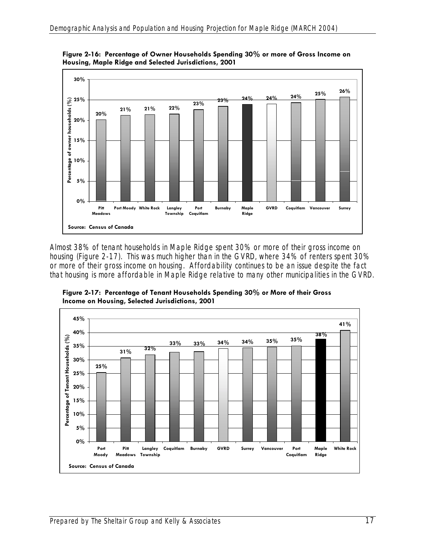

**Figure 2-16: Percentage of Owner Households Spending 30% or more of Gross Income on Housing, Maple Ridge and Selected Jurisdictions, 2001** 

Almost 38% of tenant households in Maple Ridge spent 30% or more of their gross income on housing (Figure 2-17). This was much higher than in the GVRD, where 34% of renters spent 30% or more of their gross income on housing. Affordability continues to be an issue despite the fact that housing is more affordable in Maple Ridge relative to many other municipalities in the GVRD.

**Figure 2-17: Percentage of Tenant Households Spending 30% or More of their Gross Income on Housing, Selected Jurisdictions, 2001** 

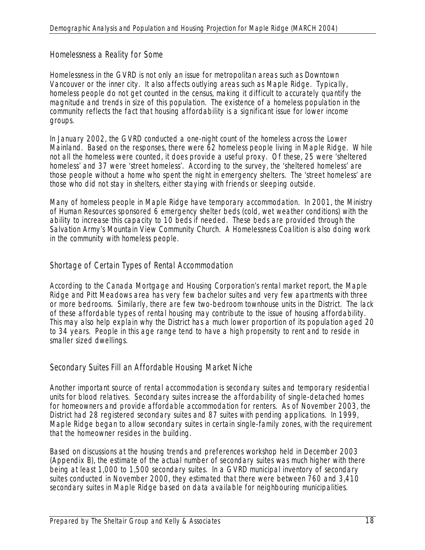#### *Homelessness a Reality for Some*

Homelessness in the GVRD is not only an issue for metropolitan areas such as Downtown Vancouver or the inner city. It also affects outlying areas such as Maple Ridge. Typically, homeless people do not get counted in the census, making it difficult to accurately quantify the magnitude and trends in size of this population. The existence of a homeless population in the community reflects the fact that housing affordability is a significant issue for lower income groups.

In January 2002, the GVRD conducted a one-night count of the homeless across the Lower Mainland. Based on the responses, there were 62 homeless people living in Maple Ridge. While not all the homeless were counted, it does provide a useful proxy. Of these, 25 were 'sheltered homeless' and 37 were 'street homeless'. According to the survey, the 'sheltered homeless' are those people without a home who spent the night in emergency shelters. The 'street homeless' are those who did not stay in shelters, either staying with friends or sleeping outside.

Many of homeless people in Maple Ridge have temporary accommodation. In 2001, the Ministry of Human Resources sponsored 6 emergency shelter beds (cold, wet weather conditions) with the ability to increase this capacity to 10 beds if needed. These beds are provided through the Salvation Army's Mountain View Community Church. A Homelessness Coalition is also doing work in the community with homeless people.

### *Shortage of Certain Types of Rental Accommodation*

According to the Canada Mortgage and Housing Corporation's rental market report, the Maple Ridge and Pitt Meadows area has very few bachelor suites and very few apartments with three or more bedrooms. Similarly, there are few two-bedroom townhouse units in the District. The lack of these affordable types of rental housing may contribute to the issue of housing affordability. This may also help explain why the District has a much lower proportion of its population aged 20 to 34 years. People in this age range tend to have a high propensity to rent and to reside in smaller sized dwellings.

#### *Secondary Suites Fill an Affordable Housing Market Niche*

Another important source of rental accommodation is secondary suites and temporary residential units for blood relatives. Secondary suites increase the affordability of single-detached homes for homeowners and provide affordable accommodation for renters. As of November 2003, the District had 28 registered secondary suites and 87 suites with pending applications. In 1999, Maple Ridge began to allow secondary suites in certain single-family zones, with the requirement that the homeowner resides in the building.

Based on discussions at the housing trends and preferences workshop held in December 2003 (Appendix B), the estimate of the actual number of secondary suites was much higher with there being at least 1,000 to 1,500 secondary suites. In a GVRD municipal inventory of secondary suites conducted in November 2000, they estimated that there were between 760 and 3,410 secondary suites in Maple Ridge based on data available for neighbouring municipalities.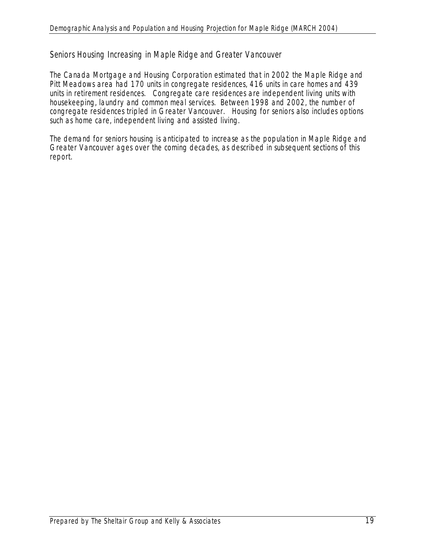### *Seniors Housing Increasing in Maple Ridge and Greater Vancouver*

The Canada Mortgage and Housing Corporation estimated that in 2002 the Maple Ridge and Pitt Meadows area had 170 units in congregate residences, 416 units in care homes and 439 units in retirement residences. Congregate care residences are independent living units with housekeeping, laundry and common meal services. Between 1998 and 2002, the number of congregate residences tripled in Greater Vancouver. Housing for seniors also includes options such as home care, independent living and assisted living.

The demand for seniors housing is anticipated to increase as the population in Maple Ridge and Greater Vancouver ages over the coming decades, as described in subsequent sections of this report.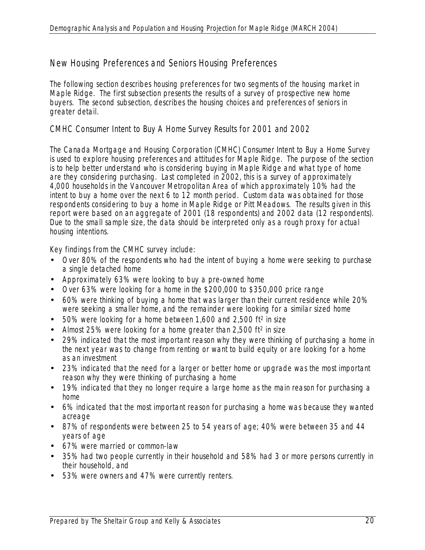# New Housing Preferences and Seniors Housing Preferences

The following section describes housing preferences for two segments of the housing market in Maple Ridge. The first subsection presents the results of a survey of prospective new home buyers. The second subsection, describes the housing choices and preferences of seniors in greater detail.

# *CMHC Consumer Intent to Buy A Home Survey Results for 2001 and 2002*

The Canada Mortgage and Housing Corporation (CMHC) Consumer Intent to Buy a Home Survey is used to explore housing preferences and attitudes for Maple Ridge. The purpose of the section is to help better understand who is considering buying in Maple Ridge and what type of home are they considering purchasing. Last completed in 2002, this is a survey of approximately 4,000 households in the Vancouver Metropolitan Area of which approximately 10% had the intent to buy a home over the next 6 to 12 month period. Custom data was obtained for those respondents considering to buy a home in Maple Ridge or Pitt Meadows. The results given in this report were based on an aggregate of 2001 (18 respondents) and 2002 data (12 respondents). Due to the small sample size, the data should be interpreted only as a rough proxy for actual housing intentions.

Key findings from the CMHC survey include:

- Over 80% of the respondents who had the intent of buying a home were seeking to purchase a single detached home
- Approximately 63% were looking to buy a pre-owned home
- Over 63% were looking for a home in the \$200,000 to \$350,000 price range
- 60% were thinking of buying a home that was larger than their current residence while 20% were seeking a smaller home, and the remainder were looking for a similar sized home
- $\bullet$  50% were looking for a home between 1,600 and 2,500 ft<sup>2</sup> in size
- Almost 25% were looking for a home greater than 2,500 ft<sup>2</sup> in size
- 29% indicated that the most important reason why they were thinking of purchasing a home in the next year was to change from renting or want to build equity or are looking for a home as an investment
- 23% indicated that the need for a larger or better home or upgrade was the most important reason why they were thinking of purchasing a home
- 19% indicated that they no longer require a large home as the main reason for purchasing a home
- 6% indicated that the most important reason for purchasing a home was because they wanted acreage
- 87% of respondents were between 25 to 54 years of age; 40% were between 35 and 44 years of age
- 67% were married or common-law
- 35% had two people currently in their household and 58% had 3 or more persons currently in their household, and
- 53% were owners and 47% were currently renters.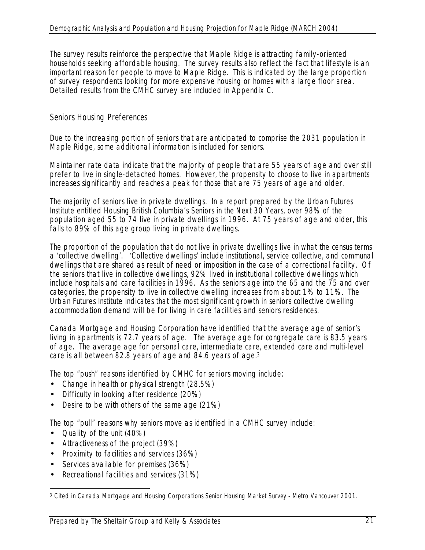The survey results reinforce the perspective that Maple Ridge is attracting family-oriented households seeking affordable housing. The survey results also reflect the fact that lifestyle is an important reason for people to move to Maple Ridge. This is indicated by the large proportion of survey respondents looking for more expensive housing or homes with a large floor area. Detailed results from the CMHC survey are included in Appendix C.

# *Seniors Housing Preferences*

Due to the increasing portion of seniors that are anticipated to comprise the 2031 population in Maple Ridge, some additional information is included for seniors.

Maintainer rate data indicate that the majority of people that are 55 years of age and over still prefer to live in single-detached homes. However, the propensity to choose to live in apartments increases significantly and reaches a peak for those that are 75 years of age and older.

The majority of seniors live in private dwellings. In a report prepared by the Urban Futures Institute entitled *Housing British Columbia's Seniors in the Next 30 Years*, over 98% of the population aged 55 to 74 live in private dwellings in 1996. At 75 years of age and older, this falls to 89% of this age group living in private dwellings.

The proportion of the population that do not live in private dwellings live in what the census terms a 'collective dwelling'. 'Collective dwellings' include institutional, service collective, and communal dwellings that are shared as result of need or imposition in the case of a correctional facility. Of the seniors that live in collective dwellings, 92% lived in institutional collective dwellings which include hospitals and care facilities in 1996. As the seniors age into the 65 and the 75 and over categories, the propensity to live in collective dwelling increases from about 1% to 11%. The Urban Futures Institute indicates that the most significant growth in seniors collective dwelling accommodation demand will be for living in care facilities and seniors residences.

Canada Mortgage and Housing Corporation have identified that the average age of senior's living in apartments is 72.7 years of age. The average age for congregate care is 83.5 years of age. The average age for personal care, intermediate care, extended care and multi-level care is all between 82.8 years of age and 84.6 years of age.3

The top "push" reasons identified by CMHC for seniors moving include:

- Change in health or physical strength (28.5%)
- Difficulty in looking after residence (20%)
- Desire to be with others of the same age (21%)

The top "pull" reasons why seniors move as identified in a CMHC survey include:

- Quality of the unit (40%)
- Attractiveness of the project (39%)
- Proximity to facilities and services (36%)
- Services available for premises (36%)
- Recreational facilities and services (31%)

 $\overline{a}$ 3 Cited in Canada Mortgage and Housing Corporations *Senior Housing Market Survey - Metro Vancouver 2001*.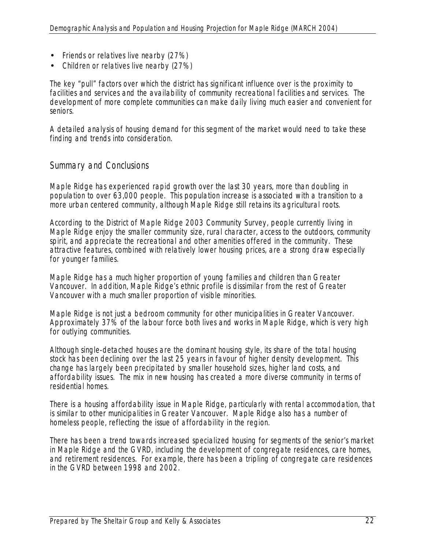- Friends or relatives live nearby (27%)
- Children or relatives live nearby (27%)

The key "pull" factors over which the district has significant influence over is the proximity to facilities and services and the availability of community recreational facilities and services. The development of more complete communities can make daily living much easier and convenient for seniors.

A detailed analysis of housing demand for this segment of the market would need to take these finding and trends into consideration.

# Summary and Conclusions

Maple Ridge has experienced rapid growth over the last 30 years, more than doubling in population to over 63,000 people. This population increase is associated with a transition to a more urban centered community, although Maple Ridge still retains its agricultural roots.

According to the District of Maple Ridge 2003 Community Survey, people currently living in Maple Ridge enjoy the smaller community size, rural character, access to the outdoors, community spirit, and appreciate the recreational and other amenities offered in the community. These attractive features, combined with relatively lower housing prices, are a strong draw especially for younger families.

Maple Ridge has a much higher proportion of young families and children than Greater Vancouver. In addition, Maple Ridge's ethnic profile is dissimilar from the rest of Greater Vancouver with a much smaller proportion of visible minorities.

Maple Ridge is not just a bedroom community for other municipalities in Greater Vancouver. Approximately 37% of the labour force both lives and works in Maple Ridge, which is very high for outlying communities.

Although single-detached houses are the dominant housing style, its share of the total housing stock has been declining over the last 25 years in favour of higher density development. This change has largely been precipitated by smaller household sizes, higher land costs, and affordability issues. The mix in new housing has created a more diverse community in terms of residential homes.

There is a housing affordability issue in Maple Ridge, particularly with rental accommodation, that is similar to other municipalities in Greater Vancouver. Maple Ridge also has a number of homeless people, reflecting the issue of affordability in the region.

There has been a trend towards increased specialized housing for segments of the senior's market in Maple Ridge and the GVRD, including the development of congregate residences, care homes, and retirement residences. For example, there has been a tripling of congregate care residences in the GVRD between 1998 and 2002.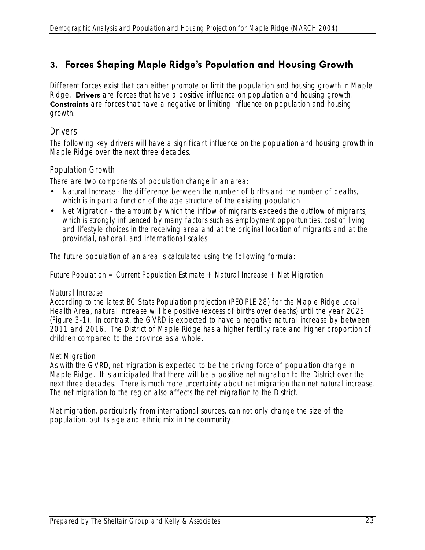# **3. Forces Shaping Maple Ridge's Population and Housing Growth**

Different forces exist that can either promote or limit the population and housing growth in Maple Ridge. **Drivers** are forces that have a positive influence on population and housing growth. **Constraints** are forces that have a negative or limiting influence on population and housing growth.

### **Drivers**

The following key drivers will have a significant influence on the population and housing growth in Maple Ridge over the next three decades.

#### *Population Growth*

There are two components of population change in an area:

- *Natural Increase* the difference between the number of births and the number of deaths, which is in part a function of the age structure of the existing population
- *Net Migration* the amount by which the inflow of migrants exceeds the outflow of migrants, which is strongly influenced by many factors such as employment opportunities, cost of living and lifestyle choices in the receiving area and at the original location of migrants and at the provincial, national, and international scales

The future population of an area is calculated using the following formula:

*Future Population = Current Population Estimate + Natural Increase + Net Migration* 

#### *Natural Increase*

According to the latest BC Stats Population projection (PEOPLE 28) for the Maple Ridge Local Health Area, natural increase will be positive (excess of births over deaths) until the year 2026 (Figure 3-1). In contrast, the GVRD is expected to have a negative natural increase by between 2011 and 2016. The District of Maple Ridge has a higher fertility rate and higher proportion of children compared to the province as a whole.

#### *Net Migration*

As with the GVRD, net migration is expected to be the driving force of population change in Maple Ridge. It is anticipated that there will be a positive net migration to the District over the next three decades. There is much more uncertainty about net migration than net natural increase. The net migration to the region also affects the net migration to the District.

Net migration, particularly from international sources, can not only change the size of the population, but its age and ethnic mix in the community.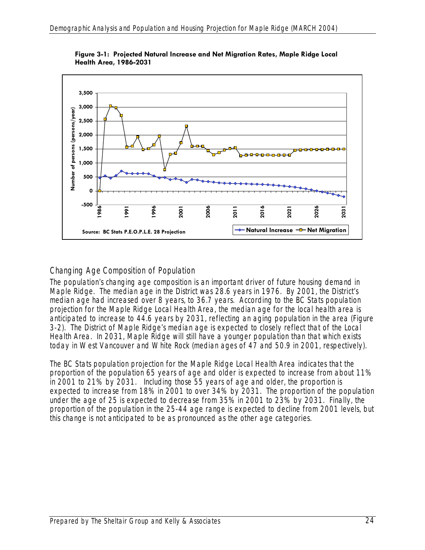

**Figure 3-1: Projected Natural Increase and Net Migration Rates, Maple Ridge Local Health Area, 1986-2031** 

# *Changing Age Composition of Population*

The population's changing age composition is an important driver of future housing demand in Maple Ridge. The median age in the District was 28.6 years in 1976. By 2001, the District's median age had increased over 8 years, to 36.7 years. According to the BC Stats population projection for the Maple Ridge Local Health Area, the median age for the local health area is anticipated to increase to 44.6 years by 2031, reflecting an aging population in the area (Figure 3-2). The District of Maple Ridge's median age is expected to closely reflect that of the Local Health Area. In 2031, Maple Ridge will still have a younger population than that which exists today in West Vancouver and White Rock (median ages of 47 and 50.9 in 2001, respectively).

The BC Stats population projection for the Maple Ridge Local Health Area indicates that the proportion of the population 65 years of age and older is expected to increase from about 11% in 2001 to 21% by 2031. Including those 55 years of age and older, the proportion is expected to increase from 18% in 2001 to over 34% by 2031. The proportion of the population under the age of 25 is expected to decrease from 35% in 2001 to 23% by 2031. Finally, the proportion of the population in the 25-44 age range is expected to decline from 2001 levels, but this change is not anticipated to be as pronounced as the other age categories.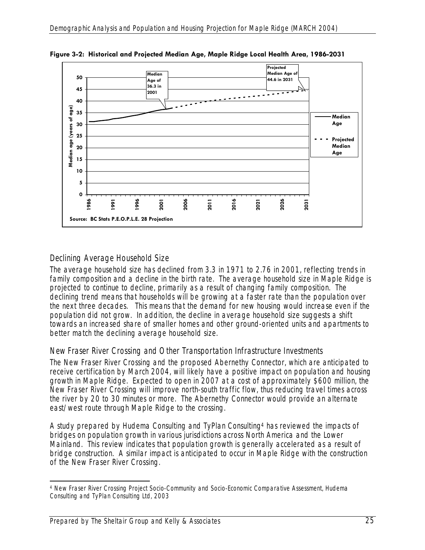

**Figure 3-2: Historical and Projected Median Age, Maple Ridge Local Health Area, 1986-2031** 

# *Declining Average Household Size*

The average household size has declined from 3.3 in 1971 to 2.76 in 2001, reflecting trends in family composition and a decline in the birth rate. The average household size in Maple Ridge is projected to continue to decline, primarily as a result of changing family composition. The declining trend means that households will be growing at a faster rate than the population over the next three decades. This means that the demand for new housing would increase even if the population did not grow. In addition, the decline in average household size suggests a shift towards an increased share of smaller homes and other ground-oriented units and apartments to better match the declining average household size.

# *New Fraser River Crossing and Other Transportation Infrastructure Investments*

The New Fraser River Crossing and the proposed Abernethy Connector, which are anticipated to receive certification by March 2004, will likely have a positive impact on population and housing growth in Maple Ridge. Expected to open in 2007 at a cost of approximately \$600 million, the New Fraser River Crossing will improve north-south traffic flow, thus reducing travel times across the river by 20 to 30 minutes or more. The Abernethy Connector would provide an alternate east/west route through Maple Ridge to the crossing.

A study prepared by Hudema Consulting and TyPlan Consulting4 has reviewed the impacts of bridges on population growth in various jurisdictions across North America and the Lower Mainland. This review indicates that population growth is generally accelerated as a result of bridge construction. A similar impact is anticipated to occur in Maple Ridge with the construction of the New Fraser River Crossing.

 $\overline{a}$ 4 New Fraser River Crossing Project Socio-Community and Socio-Economic Comparative Assessment, Hudema Consulting and TyPlan Consulting Ltd, 2003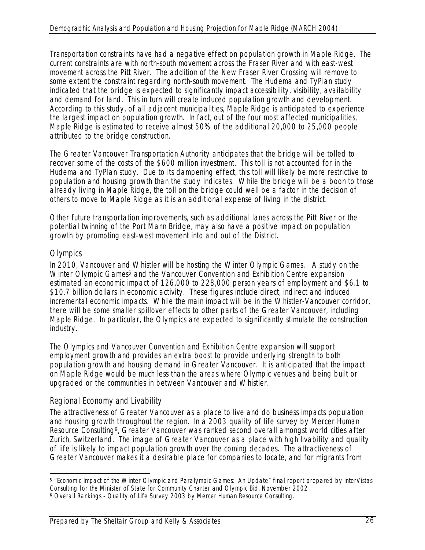Transportation constraints have had a negative effect on population growth in Maple Ridge. The current constraints are with north-south movement across the Fraser River and with east-west movement across the Pitt River. The addition of the New Fraser River Crossing will remove to some extent the constraint regarding north-south movement. The Hudema and TyPlan study indicated that the bridge is expected to significantly impact accessibility, visibility, availability and demand for land. This in turn will create induced population growth and development. According to this study, of all adjacent municipalities, Maple Ridge is anticipated to experience the largest impact on population growth. In fact, out of the four most affected municipalities, Maple Ridge is estimated to receive almost 50% of the additional 20,000 to 25,000 people attributed to the bridge construction.

The Greater Vancouver Transportation Authority anticipates that the bridge will be tolled to recover some of the costs of the \$600 million investment. This toll is not accounted for in the Hudema and TyPlan study. Due to its dampening effect, this toll will likely be more restrictive to population and housing growth than the study indicates. While the bridge will be a boon to those already living in Maple Ridge, the toll on the bridge could well be a factor in the decision of others to move to Maple Ridge as it is an additional expense of living in the district.

Other future transportation improvements, such as additional lanes across the Pitt River or the potential twinning of the Port Mann Bridge, may also have a positive impact on population growth by promoting east-west movement into and out of the District.

# *Olympics*

In 2010, Vancouver and Whistler will be hosting the Winter Olympic Games. A study on the Winter Olympic Games<sup>5</sup> and the Vancouver Convention and Exhibition Centre expansion estimated an economic impact of 126,000 to 228,000 person years of employment and \$6.1 to \$10.7 billion dollars in economic activity. These figures include direct, indirect and induced incremental economic impacts. While the main impact will be in the Whistler-Vancouver corridor, there will be some smaller spillover effects to other parts of the Greater Vancouver, including Maple Ridge. In particular, the Olympics are expected to significantly stimulate the construction industry.

The Olympics and Vancouver Convention and Exhibition Centre expansion will support employment growth and provides an extra boost to provide underlying strength to both population growth and housing demand in Greater Vancouver. It is anticipated that the impact on Maple Ridge would be much less than the areas where Olympic venues and being built or upgraded or the communities in between Vancouver and Whistler.

# *Regional Economy and Livability*

The attractiveness of Greater Vancouver as a place to live and do business impacts population and housing growth throughout the region. In a 2003 quality of life survey by Mercer Human Resource Consulting6, Greater Vancouver was ranked second overall amongst world cities after Zurich, Switzerland. The image of Greater Vancouver as a place with high livability and quality of life is likely to impact population growth over the coming decades. The attractiveness of Greater Vancouver makes it a desirable place for companies to locate, and for migrants from

 $\overline{a}$ 5 "Economic Impact of the Winter Olympic and Paralympic Games: An Update" final report prepared by InterVistas Consulting for the Minister of State for Community Charter and Olympic Bid, November 2002

<sup>6</sup> Overall Rankings - Quality of Life Survey 2003 by Mercer Human Resource Consulting.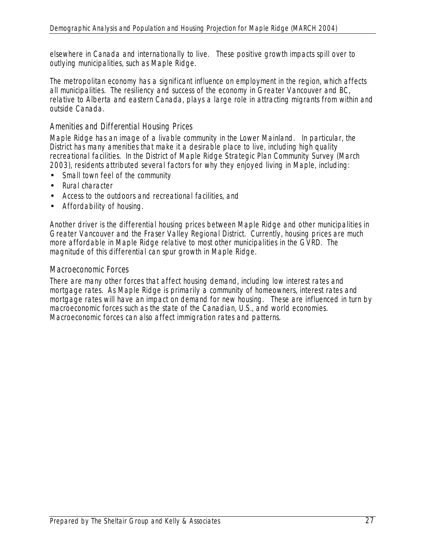elsewhere in Canada and internationally to live. These positive growth impacts spill over to outlying municipalities, such as Maple Ridge.

The metropolitan economy has a significant influence on employment in the region, which affects all municipalities. The resiliency and success of the economy in Greater Vancouver and BC, relative to Alberta and eastern Canada, plays a large role in attracting migrants from within and outside Canada.

### *Amenities and Differential Housing Prices*

Maple Ridge has an image of a livable community in the Lower Mainland. In particular, the District has many amenities that make it a desirable place to live, including high quality recreational facilities. In the District of Maple Ridge Strategic Plan Community Survey (March 2003), residents attributed several factors for why they enjoyed living in Maple, including:

- Small town feel of the community
- Rural character
- Access to the outdoors and recreational facilities, and
- Affordability of housing.

Another driver is the differential housing prices between Maple Ridge and other municipalities in Greater Vancouver and the Fraser Valley Regional District. Currently, housing prices are much more affordable in Maple Ridge relative to most other municipalities in the GVRD. The magnitude of this differential can spur growth in Maple Ridge.

# *Macroeconomic Forces*

There are many other forces that affect housing demand, including low interest rates and mortgage rates. As Maple Ridge is primarily a community of homeowners, interest rates and mortgage rates will have an impact on demand for new housing. These are influenced in turn by macroeconomic forces such as the state of the Canadian, U.S., and world economies. Macroeconomic forces can also affect immigration rates and patterns.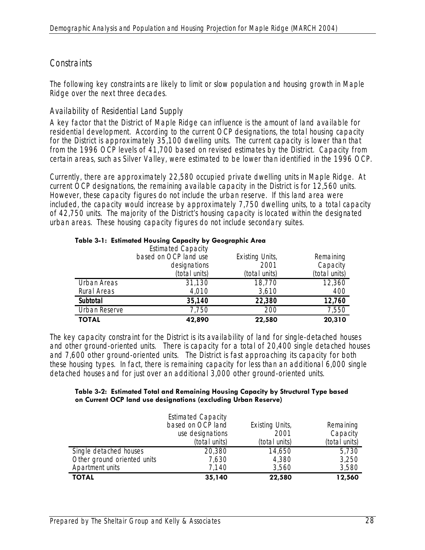# **Constraints**

The following key constraints are likely to limit or slow population and housing growth in Maple Ridge over the next three decades.

# *Availability of Residential Land Supply*

A key factor that the District of Maple Ridge can influence is the amount of land available for residential development. According to the current OCP designations, the total housing capacity for the District is approximately 35,100 dwelling units. The current capacity is lower than that from the 1996 OCP levels of 41,700 based on revised estimates by the District. Capacity from certain areas, such as Silver Valley, were estimated to be lower than identified in the 1996 OCP.

Currently, there are approximately 22,580 occupied private dwelling units in Maple Ridge. At current OCP designations, the remaining available capacity in the District is for 12,560 units. However, these capacity figures do not include the urban reserve. If this land area were included, the capacity would increase by approximately 7,750 dwelling units, to a total capacity of 42,750 units. The majority of the District's housing capacity is located within the designated urban areas. These housing capacity figures do not include secondary suites.

|                                       | <b>Estimated Capacity</b><br>based on OCP land use<br>designations<br>(total units) | <b>Existing Units,</b><br>2001<br>(total units) | Remaining<br>Capacity<br>(total units) |
|---------------------------------------|-------------------------------------------------------------------------------------|-------------------------------------------------|----------------------------------------|
| Urban Areas                           | 31,130                                                                              | 18,770                                          | 12,360                                 |
| <b>Rural Areas</b><br><b>Subtotal</b> | 4,010<br>35,140                                                                     | 3,610<br>22,380                                 | 400<br>12,760                          |
| Urban Reserve                         | 7,750                                                                               | 200                                             | 7,550                                  |
| <b>TOTAL</b>                          | 42,890                                                                              | 22,580                                          | 20,310                                 |

#### **Table 3-1: Estimated Housing Capacity by Geographic Area**

The key capacity constraint for the District is its availability of land for single-detached houses and other ground-oriented units. There is capacity for a total of 20,400 single detached houses and 7,600 other ground-oriented units. The District is fast approaching its capacity for both these housing types. In fact, there is remaining capacity for less than an additional 6,000 single detached houses and for just over an additional 3,000 other ground-oriented units.

#### **Table 3-2: Estimated Total and Remaining Housing Capacity by Structural Type based on Current OCP land use designations (excluding Urban Reserve)**

|                             | <b>Estimated Capacity</b> |                        |               |
|-----------------------------|---------------------------|------------------------|---------------|
|                             | based on OCP land         | <b>Existing Units,</b> | Remaining     |
|                             | use designations          | 2001                   | Capacity      |
|                             | (total units)             | (total units)          | (total units) |
| Single detached houses      | 20,380                    | 14,650                 | 5,730         |
| Other ground oriented units | 7,630                     | 4,380                  | 3,250         |
| Apartment units             | 7,140                     | 3,560                  | 3,580         |
| <b>TOTAL</b>                | 35,140                    | 22,580                 | 12,560        |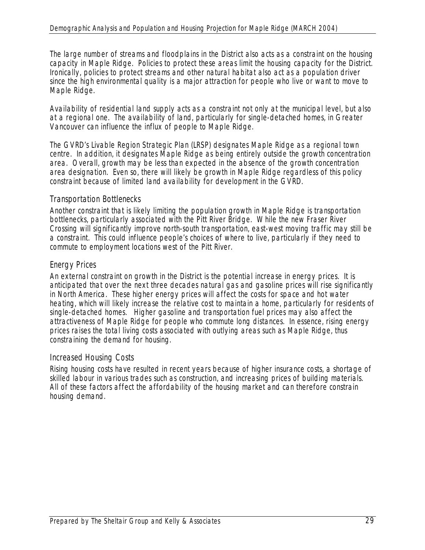The large number of streams and floodplains in the District also acts as a constraint on the housing capacity in Maple Ridge. Policies to protect these areas limit the housing capacity for the District. Ironically, policies to protect streams and other natural habitat also act as a population driver since the high environmental quality is a major attraction for people who live or want to move to Maple Ridge.

Availability of residential land supply acts as a constraint not only at the municipal level, but also at a regional one. The availability of land, particularly for single-detached homes, in Greater Vancouver can influence the influx of people to Maple Ridge.

The GVRD's Livable Region Strategic Plan (LRSP) designates Maple Ridge as a regional town centre. In addition, it designates Maple Ridge as being entirely outside the growth concentration area. Overall, growth may be less than expected in the absence of the growth concentration area designation. Even so, there will likely be growth in Maple Ridge regardless of this policy constraint because of limited land availability for development in the GVRD.

#### *Transportation Bottlenecks*

Another constraint that is likely limiting the population growth in Maple Ridge is transportation bottlenecks, particularly associated with the Pitt River Bridge. While the new Fraser River Crossing will significantly improve north-south transportation, east-west moving traffic may still be a constraint. This could influence people's choices of where to live, particularly if they need to commute to employment locations west of the Pitt River.

### *Energy Prices*

An external constraint on growth in the District is the potential increase in energy prices. It is anticipated that over the next three decades natural gas and gasoline prices will rise significantly in North America. These higher energy prices will affect the costs for space and hot water heating, which will likely increase the relative cost to maintain a home, particularly for residents of single-detached homes. Higher gasoline and transportation fuel prices may also affect the attractiveness of Maple Ridge for people who commute long distances. In essence, rising energy prices raises the total living costs associated with outlying areas such as Maple Ridge, thus constraining the demand for housing.

### *Increased Housing Costs*

Rising housing costs have resulted in recent years because of higher insurance costs, a shortage of skilled labour in various trades such as construction, and increasing prices of building materials. All of these factors affect the affordability of the housing market and can therefore constrain housing demand.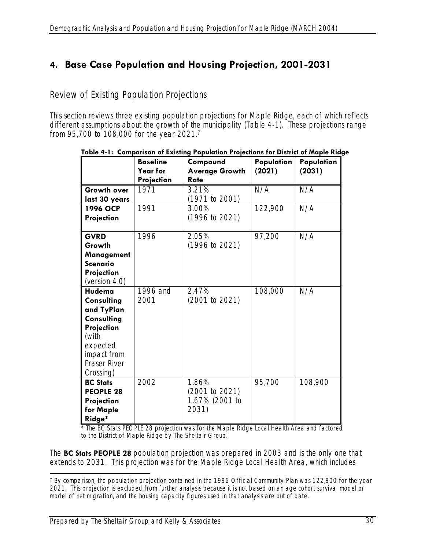# **4. Base Case Population and Housing Projection, 2001-2031**

Review of Existing Population Projections

This section reviews three existing population projections for Maple Ridge, each of which reflects different assumptions about the growth of the municipality (Table 4-1). These projections range from 95,700 to 108,000 for the year 2021.7

|                                                                                                                                        | <b>Baseline</b><br><b>Year for</b><br>Projection | Compound<br><b>Average Growth</b><br>Rate          | Population<br>(2021) | Population<br>(2031) |
|----------------------------------------------------------------------------------------------------------------------------------------|--------------------------------------------------|----------------------------------------------------|----------------------|----------------------|
| <b>Growth over</b><br>last 30 years                                                                                                    | 1971                                             | 3.21%<br>(1971 to 2001)                            | N/A                  | N/A                  |
| 1996 OCP<br>Projection                                                                                                                 | 1991                                             | 3.00%<br>(1996 to 2021)                            | 122,900              | N/A                  |
| <b>GVRD</b><br>Growth<br>Management<br><b>Scenario</b><br>Projection<br>(version $4.0$ )                                               | 1996                                             | 2.05%<br>(1996 to 2021)                            | 97,200               | N/A                  |
| Hudema<br>Consulting<br>and TyPlan<br>Consulting<br>Projection<br>(with<br>expected<br>impact from<br><b>Fraser River</b><br>Crossing) | 1996 and<br>2001                                 | 2.47%<br>(2001 to 2021)                            | 108,000              | N/A                  |
| <b>BC Stats</b><br><b>PEOPLE 28</b><br>Projection<br>for Maple<br>Ridge*                                                               | 2002                                             | 1.86%<br>(2001 to 2021)<br>1.67% (2001 to<br>2031) | 95,700               | 108,900              |

#### **Table 4-1: Comparison of Existing Population Projections for District of Maple Ridge**

The BC Stats PEOPLE 28 projection was for the Maple Ridge Local Health Area and factored to the District of Maple Ridge by The Sheltair Group.

The **BC Stats PEOPLE 28** population projection was prepared in 2003 and is the only one that extends to 2031. This projection was for the Maple Ridge Local Health Area, which includes

 $\overline{a}$ 7 By comparison, the population projection contained in the 1996 Official Community Plan was 122,900 for the year 2021. This projection is excluded from further analysis because it is not based on an age cohort survival model or model of net migration, and the housing capacity figures used in that analysis are out of date.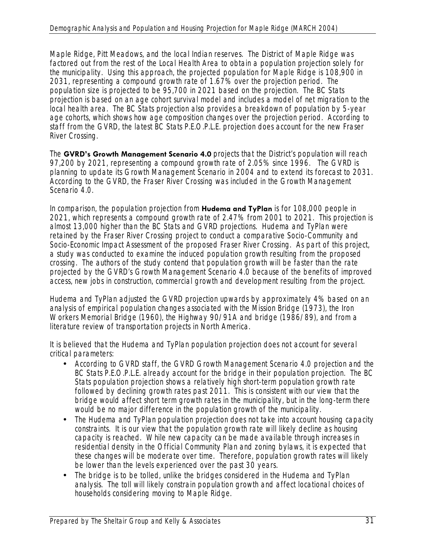Maple Ridge, Pitt Meadows, and the local Indian reserves. The District of Maple Ridge was factored out from the rest of the Local Health Area to obtain a population projection solely for the municipality. Using this approach, the projected population for Maple Ridge is 108,900 in 2031, representing a compound growth rate of 1.67% over the projection period. The population size is projected to be 95,700 in 2021 based on the projection. The BC Stats projection is based on an age cohort survival model and includes a model of net migration to the local health area. The BC Stats projection also provides a breakdown of population by 5-year age cohorts, which shows how age composition changes over the projection period. According to staff from the GVRD, the latest BC Stats P.E.O.P.L.E. projection does account for the new Fraser River Crossing.

The **GVRD's Growth Management Scenario 4.0** projects that the District's population will reach 97,200 by 2021, representing a compound growth rate of 2.05% since 1996. The GVRD is planning to update its Growth Management Scenario in 2004 and to extend its forecast to 2031. According to the GVRD, the Fraser River Crossing was included in the Growth Management Scenario 4.0.

In comparison, the population projection from **Hudema and TyPlan** is for 108,000 people in 2021, which represents a compound growth rate of 2.47% from 2001 to 2021. This projection is almost 13,000 higher than the BC Stats and GVRD projections. Hudema and TyPlan were retained by the Fraser River Crossing project to conduct a comparative Socio-Community and Socio-Economic Impact Assessment of the proposed Fraser River Crossing. As part of this project, a study was conducted to examine the induced population growth resulting from the proposed crossing. The authors of the study contend that population growth will be faster than the rate projected by the GVRD's Growth Management Scenario 4.0 because of the benefits of improved access, new jobs in construction, commercial growth and development resulting from the project.

Hudema and TyPlan adjusted the GVRD projection upwards by approximately 4% based on an analysis of empirical population changes associated with the Mission Bridge (1973), the Iron Workers Memorial Bridge (1960), the Highway 90/91A and bridge (1986/89), and from a literature review of transportation projects in North America.

It is believed that the Hudema and TyPlan population projection does not account for several critical parameters:

- According to GVRD staff, the GVRD Growth Management Scenario 4.0 projection and the BC Stats P.E.O.P.L.E. already account for the bridge in their population projection. The BC Stats population projection shows a relatively high short-term population growth rate followed by declining growth rates past 2011. This is consistent with our view that the bridge would affect short term growth rates in the municipality, but in the long-term there would be no major difference in the population growth of the municipality.
- The Hudema and TyPlan population projection does not take into account housing capacity constraints. It is our view that the population growth rate will likely decline as housing capacity is reached. While new capacity can be made available through increases in residential density in the Official Community Plan and zoning bylaws, it is expected that these changes will be moderate over time. Therefore, population growth rates will likely be lower than the levels experienced over the past 30 years.
- The bridge is to be tolled, unlike the bridges considered in the Hudema and TyPlan analysis. The toll will likely constrain population growth and affect locational choices of households considering moving to Maple Ridge.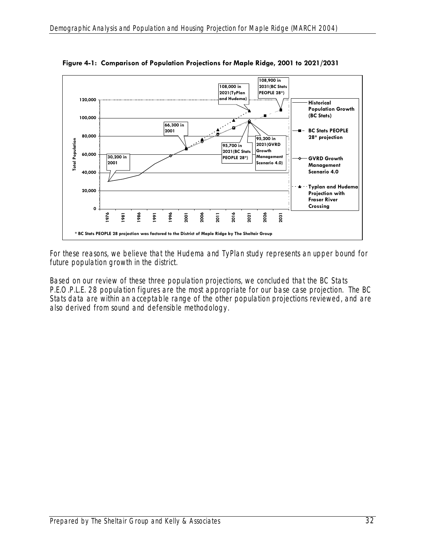

**Figure 4-1: Comparison of Population Projections for Maple Ridge, 2001 to 2021/2031** 

For these reasons, we believe that the Hudema and TyPlan study represents an upper bound for future population growth in the district.

Based on our review of these three population projections, we concluded that the BC Stats P.E.O.P.L.E. 28 population figures are the most appropriate for our base case projection. The BC Stats data are within an acceptable range of the other population projections reviewed, and are also derived from sound and defensible methodology.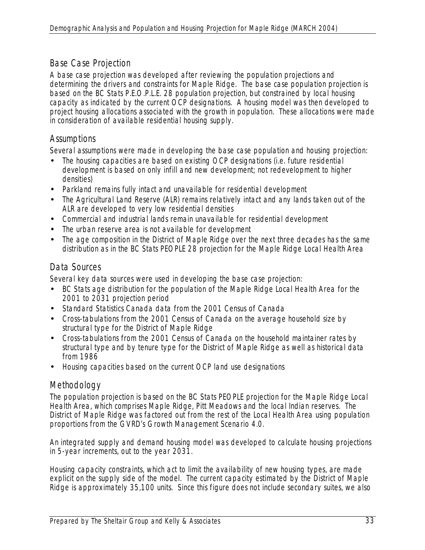# Base Case Projection

A base case projection was developed after reviewing the population projections and determining the drivers and constraints for Maple Ridge. The base case population projection is based on the BC Stats P.E.O.P.L.E. 28 population projection, but constrained by local housing capacity as indicated by the current OCP designations. A housing model was then developed to project housing allocations associated with the growth in population. These allocations were made in consideration of available residential housing supply.

# **Assumptions**

Several assumptions were made in developing the base case population and housing projection:

- The housing capacities are based on existing OCP designations (i.e. future residential development is based on only infill and new development; not redevelopment to higher densities)
- Parkland remains fully intact and unavailable for residential development
- The Agricultural Land Reserve (ALR) remains relatively intact and any lands taken out of the ALR are developed to very low residential densities
- Commercial and industrial lands remain unavailable for residential development
- The urban reserve area is not available for development
- The age composition in the District of Maple Ridge over the next three decades has the same distribution as in the BC Stats PEOPLE 28 projection for the Maple Ridge Local Health Area

# Data Sources

Several key data sources were used in developing the base case projection:

- BC Stats age distribution for the population of the Maple Ridge Local Health Area for the 2001 to 2031 projection period
- Standard Statistics Canada data from the 2001 Census of Canada
- Cross-tabulations from the 2001 Census of Canada on the average household size by structural type for the District of Maple Ridge
- Cross-tabulations from the 2001 Census of Canada on the household maintainer rates by structural type and by tenure type for the District of Maple Ridge as well as historical data from 1986
- Housing capacities based on the current OCP land use designations

# Methodology

The population projection is based on the BC Stats PEOPLE projection for the Maple Ridge Local Health Area, which comprises Maple Ridge, Pitt Meadows and the local Indian reserves. The District of Maple Ridge was factored out from the rest of the Local Health Area using population proportions from the GVRD's Growth Management Scenario 4.0.

An integrated supply and demand housing model was developed to calculate housing projections in 5-year increments, out to the year 2031.

Housing capacity constraints, which act to limit the availability of new housing types, are made explicit on the supply side of the model. The current capacity estimated by the District of Maple Ridge is approximately 35,100 units. Since this figure does not include secondary suites, we also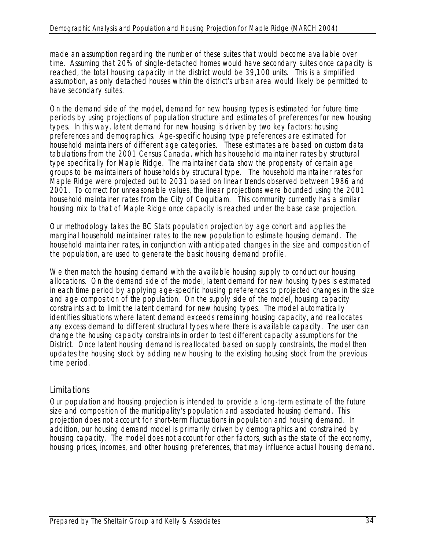made an assumption regarding the number of these suites that would become available over time. Assuming that 20% of single-detached homes would have secondary suites once capacity is reached, the total housing capacity in the district would be 39,100 units. This is a simplified assumption, as only detached houses within the district's urban area would likely be permitted to have secondary suites.

On the demand side of the model, demand for new housing types is estimated for future time periods by using projections of population structure and estimates of preferences for new housing types. In this way, latent demand for new housing is driven by two key factors: housing preferences and demographics. Age-specific housing type preferences are estimated for household maintainers of different age categories. These estimates are based on custom data tabulations from the 2001 Census Canada, which has household maintainer rates by structural type specifically for Maple Ridge. The maintainer data show the propensity of certain age groups to be maintainers of households by structural type. The household maintainer rates for Maple Ridge were projected out to 2031 based on linear trends observed between 1986 and 2001. To correct for unreasonable values, the linear projections were bounded using the 2001 household maintainer rates from the City of Coquitlam. This community currently has a similar housing mix to that of Maple Ridge once capacity is reached under the base case projection.

Our methodology takes the BC Stats population projection by age cohort and applies the marginal household maintainer rates to the new population to estimate housing demand. The household maintainer rates, in conjunction with anticipated changes in the size and composition of the population, are used to generate the basic housing demand profile.

We then match the housing demand with the available housing supply to conduct our housing allocations. On the demand side of the model, latent demand for new housing types is estimated in each time period by applying age-specific housing preferences to projected changes in the size and age composition of the population. On the supply side of the model, housing capacity constraints act to limit the latent demand for new housing types. The model automatically identifies situations where latent demand exceeds remaining housing capacity, and reallocates any excess demand to different structural types where there is available capacity. The user can change the housing capacity constraints in order to test different capacity assumptions for the District. Once latent housing demand is reallocated based on supply constraints, the model then updates the housing stock by adding new housing to the existing housing stock from the previous time period.

### **Limitations**

Our population and housing projection is intended to provide a long-term estimate of the future size and composition of the municipality's population and associated housing demand. This projection does not account for short-term fluctuations in population and housing demand. In addition, our housing demand model is primarily driven by demographics and constrained by housing capacity. The model does not account for other factors, such as the state of the economy, housing prices, incomes, and other housing preferences, that may influence actual housing demand.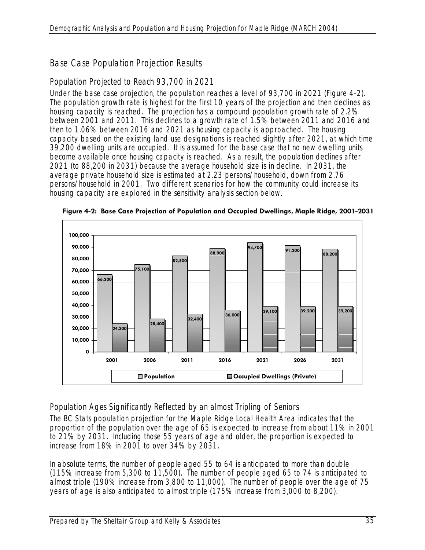# Base Case Population Projection Results

# *Population Projected to Reach 93,700 in 2021*

Under the base case projection, the population reaches a level of 93,700 in 2021 (Figure 4-2). The population growth rate is highest for the first 10 years of the projection and then declines as housing capacity is reached. The projection has a compound population growth rate of 2.2% between 2001 and 2011. This declines to a growth rate of 1.5% between 2011 and 2016 and then to 1.06% between 2016 and 2021 as housing capacity is approached. The housing capacity based on the existing land use designations is reached slightly after 2021, at which time 39,200 dwelling units are occupied. It is assumed for the base case that no new dwelling units become available once housing capacity is reached. As a result, the population declines after 2021 (to 88,200 in 2031) because the average household size is in decline. In 2031, the average private household size is estimated at 2.23 persons/household, down from 2.76 persons/household in 2001. Two different scenarios for how the community could increase its housing capacity are explored in the sensitivity analysis section below.



**Figure 4-2: Base Case Projection of Population and Occupied Dwellings, Maple Ridge, 2001-2031** 

# *Population Ages Significantly Reflected by an almost Tripling of Seniors*

The BC Stats population projection for the Maple Ridge Local Health Area indicates that the proportion of the population over the age of 65 is expected to increase from about 11% in 2001 to 21% by 2031. Including those 55 years of age and older, the proportion is expected to increase from 18% in 2001 to over 34% by 2031.

In absolute terms, the number of people aged 55 to 64 is anticipated to more than double (115% increase from 5,300 to 11,500). The number of people aged 65 to 74 is anticipated to almost triple (190% increase from 3,800 to 11,000). The number of people over the age of 75 years of age is also anticipated to almost triple (175% increase from 3,000 to 8,200).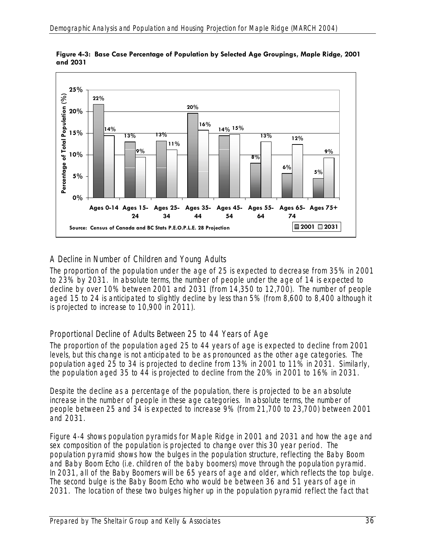

**Figure 4-3: Base Case Percentage of Population by Selected Age Groupings, Maple Ridge, 2001 and 2031** 

# *A Decline in Number of Children and Young Adults*

The proportion of the population under the age of 25 is expected to decrease from 35% in 2001 to 23% by 2031. In absolute terms, the number of people under the age of 14 is expected to decline by over 10% between 2001 and 2031 (from 14,350 to 12,700). The number of people aged 15 to 24 is anticipated to slightly decline by less than 5% (from 8,600 to 8,400 although it is projected to increase to 10,900 in 2011).

# *Proportional Decline of Adults Between 25 to 44 Years of Age*

The proportion of the population aged 25 to 44 years of age is expected to decline from 2001 levels, but this change is not anticipated to be as pronounced as the other age categories. The population aged 25 to 34 is projected to decline from 13% in 2001 to 11% in 2031. Similarly, the population aged 35 to 44 is projected to decline from the 20% in 2001 to 16% in 2031.

Despite the decline as a percentage of the population, there is projected to be an absolute increase in the number of people in these age categories. In absolute terms, the number of people between 25 and 34 is expected to increase 9% (from 21,700 to 23,700) between 2001 and 2031.

Figure 4-4 shows population pyramids for Maple Ridge in 2001 and 2031 and how the age and sex composition of the population is projected to change over this 30 year period. The population pyramid shows how the bulges in the population structure, reflecting the Baby Boom and Baby Boom Echo (i.e. children of the baby boomers) move through the population pyramid. In 2031, all of the Baby Boomers will be 65 years of age and older, which reflects the top bulge. The second bulge is the Baby Boom Echo who would be between 36 and 51 years of age in 2031. The location of these two bulges higher up in the population pyramid reflect the fact that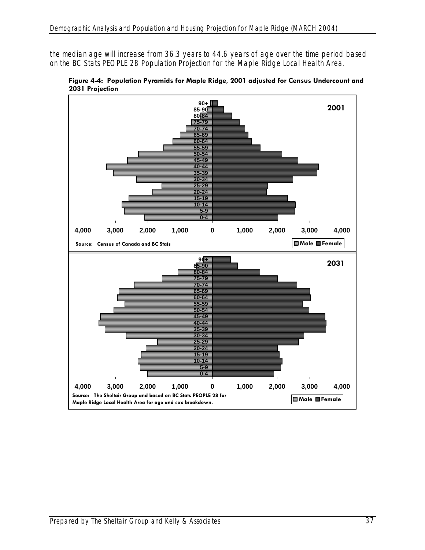the median age will increase from 36.3 years to 44.6 years of age over the time period based on the BC Stats PEOPLE 28 Population Projection for the Maple Ridge Local Health Area.



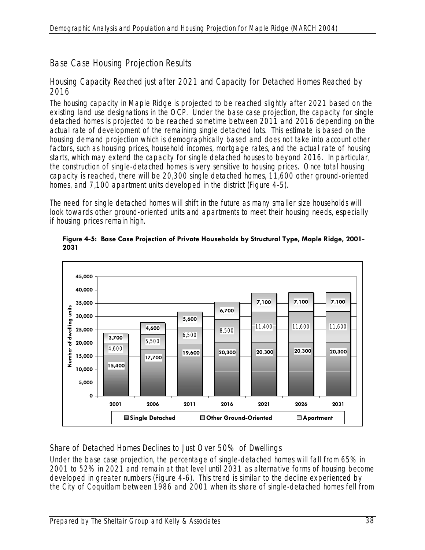# Base Case Housing Projection Results

### *Housing Capacity Reached just after 2021 and Capacity for Detached Homes Reached by 2016*

The housing capacity in Maple Ridge is projected to be reached slightly after 2021 based on the existing land use designations in the OCP. Under the base case projection, the capacity for single detached homes is projected to be reached sometime between 2011 and 2016 depending on the actual rate of development of the remaining single detached lots. This estimate is based on the housing demand projection which is demographically based and does not take into account other factors, such as housing prices, household incomes, mortgage rates, and the actual rate of housing starts, which may extend the capacity for single detached houses to beyond 2016. In particular, the construction of single-detached homes is very sensitive to housing prices. Once total housing capacity is reached, there will be 20,300 single detached homes, 11,600 other ground-oriented homes, and 7,100 apartment units developed in the district (Figure 4-5).

The need for single detached homes will shift in the future as many smaller size households will look towards other ground-oriented units and apartments to meet their housing needs, especially if housing prices remain high.



**Figure 4-5: Base Case Projection of Private Households by Structural Type, Maple Ridge, 2001- 2031** 

# *Share of Detached Homes Declines to Just Over 50% of Dwellings*

Under the base case projection, the percentage of single-detached homes will fall from 65% in 2001 to 52% in 2021 and remain at that level until 2031 as alternative forms of housing become developed in greater numbers (Figure 4-6). This trend is similar to the decline experienced by the City of Coquitlam between 1986 and 2001 when its share of single-detached homes fell from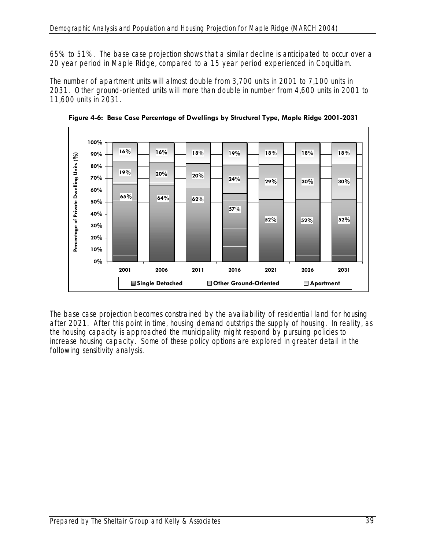65% to 51%. The base case projection shows that a similar decline is anticipated to occur over a 20 year period in Maple Ridge, compared to a 15 year period experienced in Coquitlam.

The number of apartment units will almost double from 3,700 units in 2001 to 7,100 units in 2031. Other ground-oriented units will more than double in number from 4,600 units in 2001 to 11,600 units in 2031.



**Figure 4-6: Base Case Percentage of Dwellings by Structural Type, Maple Ridge 2001-2031** 

The base case projection becomes constrained by the availability of residential land for housing after 2021. After this point in time, housing demand outstrips the supply of housing. In reality, as the housing capacity is approached the municipality might respond by pursuing policies to increase housing capacity. Some of these policy options are explored in greater detail in the following sensitivity analysis.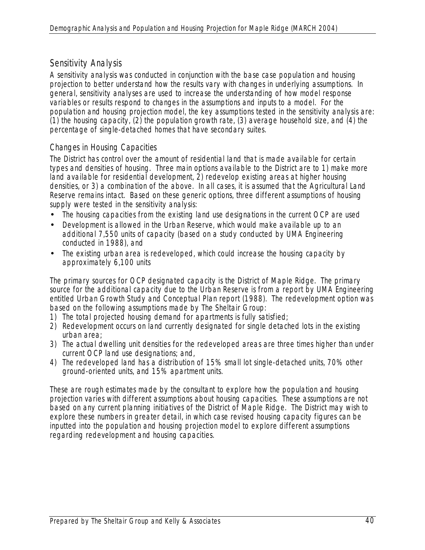# Sensitivity Analysis

A sensitivity analysis was conducted in conjunction with the base case population and housing projection to better understand how the results vary with changes in underlying assumptions. In general, sensitivity analyses are used to increase the understanding of how model response variables or results respond to changes in the assumptions and inputs to a model. For the population and housing projection model, the key assumptions tested in the sensitivity analysis are: (1) the housing capacity, (2) the population growth rate, (3) average household size, and (4) the percentage of single-detached homes that have secondary suites.

# *Changes in Housing Capacities*

The District has control over the amount of residential land that is made available for certain types and densities of housing. Three main options available to the District are to 1) make more land available for residential development, 2) redevelop existing areas at higher housing densities, or 3) a combination of the above. In all cases, it is assumed that the Agricultural Land Reserve remains intact. Based on these generic options, three different assumptions of housing supply were tested in the sensitivity analysis:

- The housing capacities from the existing land use designations in the current OCP are used
- Development is allowed in the Urban Reserve, which would make available up to an additional 7,550 units of capacity (based on a study conducted by UMA Engineering conducted in 1988), and
- The existing urban area is redeveloped, which could increase the housing capacity by approximately 6,100 units

The primary sources for OCP designated capacity is the District of Maple Ridge. The primary source for the additional capacity due to the Urban Reserve is from a report by UMA Engineering entitled Urban Growth Study and Conceptual Plan report (1988). The redevelopment option was based on the following assumptions made by The Sheltair Group:

- 1) The total projected housing demand for apartments is fully satisfied;
- 2) Redevelopment occurs on land currently designated for single detached lots in the existing urban area;
- 3) The actual dwelling unit densities for the redeveloped areas are three times higher than under current OCP land use designations; and,
- 4) The redeveloped land has a distribution of 15% small lot single-detached units, 70% other ground-oriented units, and 15% apartment units.

These are rough estimates made by the consultant to explore how the population and housing projection varies with different assumptions about housing capacities. These assumptions are not based on any current planning initiatives of the District of Maple Ridge. The District may wish to explore these numbers in greater detail, in which case revised housing capacity figures can be inputted into the population and housing projection model to explore different assumptions regarding redevelopment and housing capacities.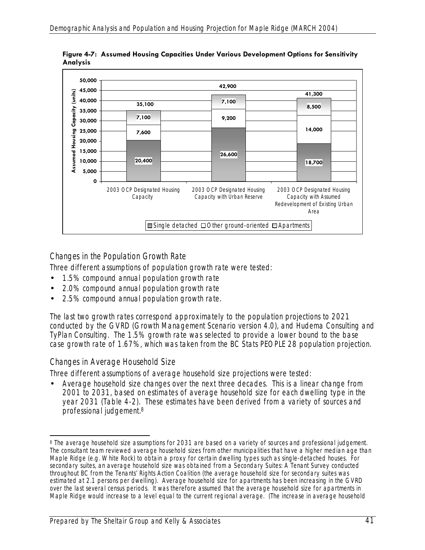

**Figure 4-7: Assumed Housing Capacities Under Various Development Options for Sensitivity Analysis** 

# *Changes in the Population Growth Rate*

Three different assumptions of population growth rate were tested:

- 1.5% compound annual population growth rate
- 2.0% compound annual population growth rate
- 2.5% compound annual population growth rate.

The last two growth rates correspond approximately to the population projections to 2021 conducted by the GVRD (Growth Management Scenario version 4.0), and Hudema Consulting and TyPlan Consulting. The 1.5% growth rate was selected to provide a lower bound to the base case growth rate of 1.67%, which was taken from the BC Stats PEOPLE 28 population projection.

### *Changes in Average Household Size*

Three different assumptions of average household size projections were tested:

• Average household size changes over the next three decades. This is a linear change from 2001 to 2031, based on estimates of average household size for each dwelling type in the year 2031 (Table 4-2). These estimates have been derived from a variety of sources and professional judgement.8

 $\overline{a}$ 8 The average household size assumptions for 2031 are based on a variety of sources and professional judgement. The consultant team reviewed average household sizes from other municipalities that have a higher median age than Maple Ridge (e.g. White Rock) to obtain a proxy for certain dwelling types such as single-detached houses. For secondary suites, an average household size was obtained from a Secondary Suites: A Tenant Survey conducted throughout BC from the Tenants' Rights Action Coalition (the average household size for secondary suites was estimated at 2.1 persons per dwelling). Average household size for apartments has been increasing in the GVRD over the last several census periods. It was therefore assumed that the average household size for apartments in Maple Ridge would increase to a level equal to the current regional average. (The increase in average household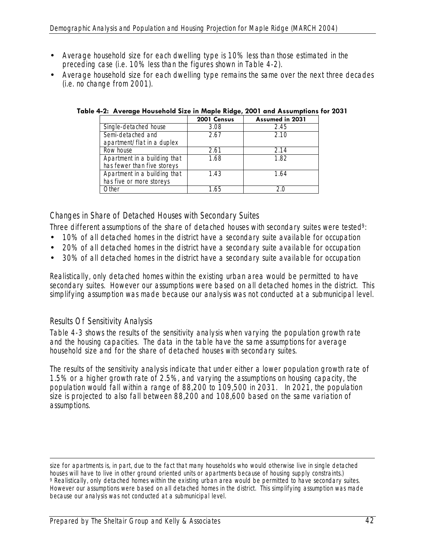- Average household size for each dwelling type is 10% less than those estimated in the preceding case (i.e. 10% less than the figures shown in Table 4-2).
- Average household size for each dwelling type remains the same over the next three decades (i.e. no change from 2001).

|                              | 2001 Census | Assumed in 2031 |
|------------------------------|-------------|-----------------|
| Single-detached house        | 3.08        | 2.45            |
| Semi-detached and            | 2.67        | 2.10            |
| apartment/flat in a duplex   |             |                 |
| Row house                    | 2.61        | 2.14            |
| Apartment in a building that | 1.68        | 1.82            |
| has fewer than five storeys  |             |                 |
| Apartment in a building that | 1.43        | 1.64            |
| has five or more storeys     |             |                 |
| Other                        | 1.65        |                 |

**Table 4-2: Average Household Size in Maple Ridge, 2001 and Assumptions for 2031** 

# *Changes in Share of Detached Houses with Secondary Suites*

- Three different assumptions of the share of detached houses with secondary suites were tested<sup>9</sup>:
- 10% of all detached homes in the district have a secondary suite available for occupation
- 20% of all detached homes in the district have a secondary suite available for occupation
- 30% of all detached homes in the district have a secondary suite available for occupation

Realistically, only detached homes within the existing urban area would be permitted to have secondary suites. However our assumptions were based on all detached homes in the district. This simplifying assumption was made because our analysis was not conducted at a submunicipal level.

### *Results Of Sensitivity Analysis*

Table 4-3 shows the results of the sensitivity analysis when varying the population growth rate and the housing capacities. The data in the table have the same assumptions for average household size and for the share of detached houses with secondary suites.

The results of the sensitivity analysis indicate that under either a lower population growth rate of 1.5% or a higher growth rate of 2.5%, and varying the assumptions on housing capacity, the population would fall within a range of 88,200 to 109,500 in 2031. In 2021, the population size is projected to also fall between 88,200 and 108,600 based on the same variation of assumptions.

size for apartments is, in part, due to the fact that many households who would otherwise live in single detached houses will have to live in other ground oriented units or apartments because of housing supply constraints.) 9 Realistically, only detached homes within the existing urban area would be permitted to have secondary suites. However our assumptions were based on all detached homes in the district. This simplifying assumption was made because our analysis was not conducted at a submunicipal level.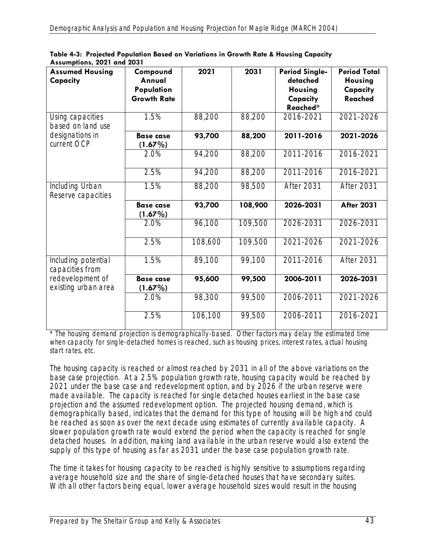| <b>Assumed Housing</b><br>Capacity      | Compound<br>Annual<br>Population<br><b>Growth Rate</b> | 2021    | 2031    | <b>Period Single-</b><br>detached<br><b>Housing</b><br>Capacity<br>Reached* | <b>Period Total</b><br><b>Housing</b><br>Capacity<br><b>Reached</b> |
|-----------------------------------------|--------------------------------------------------------|---------|---------|-----------------------------------------------------------------------------|---------------------------------------------------------------------|
| Using capacities<br>based on land use   | 1.5%                                                   | 88,200  | 88,200  | 2016-2021                                                                   | 2021-2026                                                           |
| designations in<br>current OCP          | <b>Base case</b><br>(1.67%)                            | 93,700  | 88,200  | 2011-2016                                                                   | 2021-2026                                                           |
|                                         | 2.0%                                                   | 94,200  | 88,200  | 2011-2016                                                                   | 2016-2021                                                           |
|                                         | 2.5%                                                   | 94,200  | 88,200  | 2011-2016                                                                   | 2016-2021                                                           |
| Including Urban<br>Reserve capacities   | 1.5%                                                   | 88,200  | 98,500  | After 2031                                                                  | After 2031                                                          |
|                                         | <b>Base case</b><br>$(1.67\%)$                         | 93,700  | 108,900 | 2026-2031                                                                   | <b>After 2031</b>                                                   |
|                                         | 2.0%                                                   | 96,100  | 109,500 | 2026-2031                                                                   | 2026-2031                                                           |
|                                         | 2.5%                                                   | 108,600 | 109,500 | 2021-2026                                                                   | 2021-2026                                                           |
| Including potential<br>capacities from  | 1.5%                                                   | 89,100  | 99,100  | 2011-2016                                                                   | After 2031                                                          |
| redevelopment of<br>existing urban area | <b>Base case</b><br>$(1.67\%)$                         | 95,600  | 99,500  | 2006-2011                                                                   | 2026-2031                                                           |
|                                         | 2.0%                                                   | 98,300  | 99,500  | 2006-2011                                                                   | 2021-2026                                                           |
|                                         | 2.5%                                                   | 106,100 | 99,500  | 2006-2011                                                                   | 2016-2021                                                           |

**Table 4-3: Projected Population Based on Variations in Growth Rate & Housing Capacity Assumptions, 2021 and 2031** 

\* The housing demand projection is demographically-based. Other factors may delay the estimated time when capacity for single-detached homes is reached, such as housing prices, interest rates, actual housing start rates, etc.

The housing capacity is reached or almost reached by 2031 in all of the above variations on the base case projection. At a 2.5% population growth rate, housing capacity would be reached by 2021 under the base case and redevelopment option, and by 2026 if the urban reserve were made available. The capacity is reached for single detached houses earliest in the base case projection and the assumed redevelopment option. The projected housing demand, which is demographically based, indicates that the demand for this type of housing will be high and could be reached as soon as over the next decade using estimates of currently available capacity. A slower population growth rate would extend the period when the capacity is reached for single detached houses. In addition, making land available in the urban reserve would also extend the supply of this type of housing as far as 2031 under the base case population growth rate.

The time it takes for housing capacity to be reached is highly sensitive to assumptions regarding average household size and the share of single-detached houses that have secondary suites. With all other factors being equal, lower average household sizes would result in the housing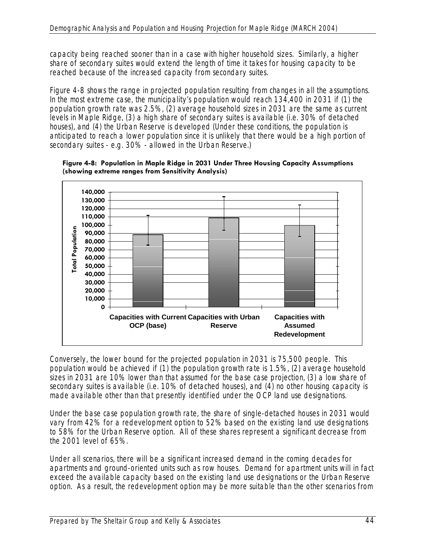capacity being reached sooner than in a case with higher household sizes. Similarly, a higher share of secondary suites would extend the length of time it takes for housing capacity to be reached because of the increased capacity from secondary suites.

Figure 4-8 shows the range in projected population resulting from changes in all the assumptions. In the most extreme case, the municipality's population would reach 134,400 in 2031 if (1) the population growth rate was 2.5%, (2) average household sizes in 2031 are the same as current levels in Maple Ridge, (3) a high share of secondary suites is available (i.e. 30% of detached houses), and (4) the Urban Reserve is developed (Under these conditions, the population is anticipated to reach a lower population since it is unlikely that there would be a high portion of secondary suites - e.g. 30% - allowed in the Urban Reserve.)



**Figure 4-8: Population in Maple Ridge in 2031 Under Three Housing Capacity Assumptions (showing extreme ranges from Sensitivity Analysis)** 

Conversely, the lower bound for the projected population in 2031 is 75,500 people. This population would be achieved if (1) the population growth rate is 1.5%, (2) average household sizes in 2031 are 10% lower than that assumed for the base case projection, (3) a low share of secondary suites is available (i.e. 10% of detached houses), and (4) no other housing capacity is made available other than that presently identified under the OCP land use designations.

Under the base case population growth rate, the share of single-detached houses in 2031 would vary from 42% for a redevelopment option to 52% based on the existing land use designations to 58% for the Urban Reserve option. All of these shares represent a significant decrease from the 2001 level of 65%.

Under all scenarios, there will be a significant increased demand in the coming decades for apartments and ground-oriented units such as row houses. Demand for apartment units will in fact exceed the available capacity based on the existing land use designations or the Urban Reserve option. As a result, the redevelopment option may be more suitable than the other scenarios from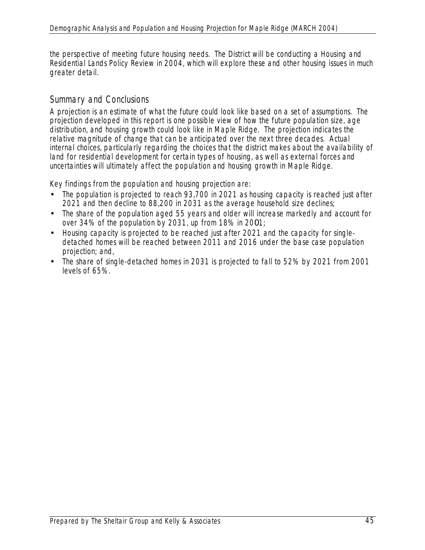the perspective of meeting future housing needs. The District will be conducting a Housing and Residential Lands Policy Review in 2004, which will explore these and other housing issues in much greater detail.

# Summary and Conclusions

A projection is an estimate of what the future could look like based on a set of assumptions. The projection developed in this report is one possible view of how the future population size, age distribution, and housing growth could look like in Maple Ridge. The projection indicates the relative magnitude of change that can be anticipated over the next three decades. Actual internal choices, particularly regarding the choices that the district makes about the availability of land for residential development for certain types of housing, as well as external forces and uncertainties will ultimately affect the population and housing growth in Maple Ridge.

Key findings from the population and housing projection are:

- The population is projected to reach 93,700 in 2021 as housing capacity is reached just after 2021 and then decline to 88,200 in 2031 as the average household size declines;
- The share of the population aged 55 years and older will increase markedly and account for over 34% of the population by 2031, up from 18% in 2001;
- Housing capacity is projected to be reached just after 2021 and the capacity for singledetached homes will be reached between 2011 and 2016 under the base case population projection; and,
- The share of single-detached homes in 2031 is projected to fall to 52% by 2021 from 2001 levels of 65%.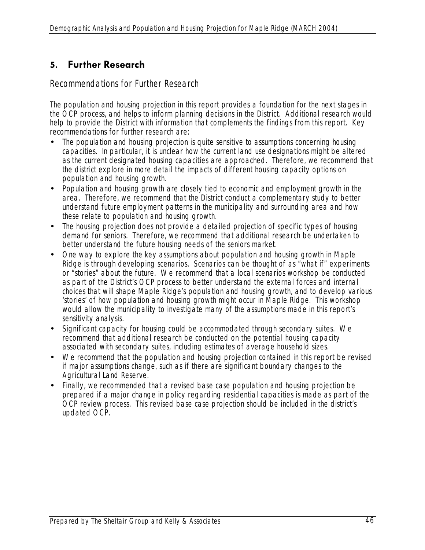# **5. Further Research**

Recommendations for Further Research

The population and housing projection in this report provides a foundation for the next stages in the OCP process, and helps to inform planning decisions in the District. Additional research would help to provide the District with information that complements the findings from this report. Key recommendations for further research are:

- The population and housing projection is quite sensitive to assumptions concerning housing capacities. In particular, it is unclear how the current land use designations might be altered as the current designated housing capacities are approached. Therefore, we recommend that the district explore in more detail the impacts of different housing capacity options on population and housing growth.
- Population and housing growth are closely tied to economic and employment growth in the area. Therefore, we recommend that the District conduct a complementary study to better understand future employment patterns in the municipality and surrounding area and how these relate to population and housing growth.
- The housing projection does not provide a detailed projection of specific types of housing demand for seniors. Therefore, we recommend that additional research be undertaken to better understand the future housing needs of the seniors market.
- One way to explore the key assumptions about population and housing growth in Maple Ridge is through developing scenarios. Scenarios can be thought of as "what if" experiments or "stories" about the future. We recommend that a local scenarios workshop be conducted as part of the District's OCP process to better understand the external forces and internal choices that will shape Maple Ridge's population and housing growth, and to develop various 'stories' of how population and housing growth might occur in Maple Ridge. This workshop would allow the municipality to investigate many of the assumptions made in this report's sensitivity analysis.
- Significant capacity for housing could be accommodated through secondary suites. We recommend that additional research be conducted on the potential housing capacity associated with secondary suites, including estimates of average household sizes.
- We recommend that the population and housing projection contained in this report be revised if major assumptions change, such as if there are significant boundary changes to the Agricultural Land Reserve.
- Finally, we recommended that a revised base case population and housing projection be prepared if a major change in policy regarding residential capacities is made as part of the OCP review process. This revised base case projection should be included in the district's updated OCP.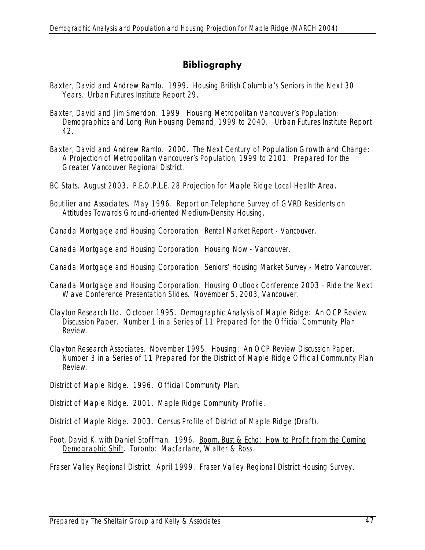# **Bibliography**

- Baxter, David and Andrew Ramlo. 1999. Housing British Columbia's Seniors in the Next 30 Years. Urban Futures Institute Report 29.
- Baxter, David and Jim Smerdon. 1999. Housing Metropolitan Vancouver's Population: Demographics and Long Run Housing Demand, 1999 to 2040. Urban Futures Institute Report 42.
- Baxter, David and Andrew Ramlo. 2000. The Next Century of Population Growth and Change: A Projection of Metropolitan Vancouver's Population, 1999 to 2101. Prepared for the Greater Vancouver Regional District.
- BC Stats. August 2003. P.E.O.P.L.E. 28 Projection for Maple Ridge Local Health Area.
- Boutilier and Associates. May 1996. Report on Telephone Survey of GVRD Residents on Attitudes Towards Ground-oriented Medium-Density Housing.

Canada Mortgage and Housing Corporation. *Rental Market Report - Vancouver*.

Canada Mortgage and Housing Corporation. *Housing Now - Vancouver*.

Canada Mortgage and Housing Corporation. *Seniors' Housing Market Survey - Metro Vancouver.* 

- Canada Mortgage and Housing Corporation. Housing Outlook Conference 2003 Ride the Next Wave Conference Presentation Slides. November 5, 2003, Vancouver.
- Clayton Research Ltd. October 1995. Demographic Analysis of Maple Ridge: An OCP Review Discussion Paper. Number 1 in a Series of 11 Prepared for the Official Community Plan Review.
- Clayton Research Associates. November 1995. Housing: An OCP Review Discussion Paper. Number 3 in a Series of 11 Prepared for the District of Maple Ridge Official Community Plan Review.
- District of Maple Ridge. 1996. Official Community Plan.

District of Maple Ridge. 2001. Maple Ridge Community Profile.

District of Maple Ridge. 2003. Census Profile of District of Maple Ridge (Draft).

Foot, David K. with Daniel Stoffman. 1996. Boom, Bust & Echo: How to Profit from the Coming Demographic Shift. Toronto: Macfarlane, Walter & Ross.

Fraser Valley Regional District. April 1999. Fraser Valley Regional District Housing Survey.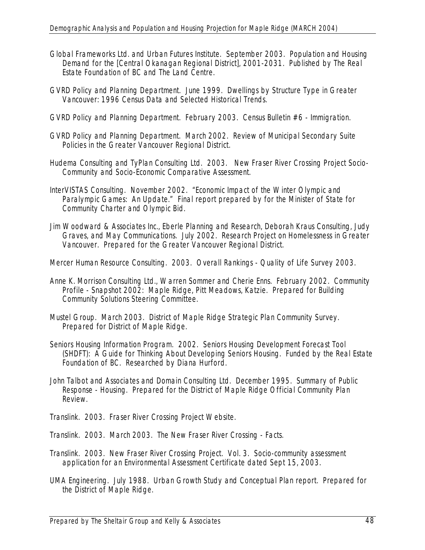- Global Frameworks Ltd. and Urban Futures Institute. September 2003. Population and Housing Demand for the [Central Okanagan Regional District], 2001-2031. Published by The Real Estate Foundation of BC and The Land Centre.
- GVRD Policy and Planning Department. June 1999. Dwellings by Structure Type in Greater Vancouver: 1996 Census Data and Selected Historical Trends.
- GVRD Policy and Planning Department. February 2003. Census Bulletin #6 Immigration.
- GVRD Policy and Planning Department. March 2002. Review of Municipal Secondary Suite Policies in the Greater Vancouver Regional District.
- Hudema Consulting and TyPlan Consulting Ltd. 2003. New Fraser River Crossing Project Socio-Community and Socio-Economic Comparative Assessment.
- InterVISTAS Consulting. November 2002. "Economic Impact of the Winter Olympic and Paralympic Games: An Update." Final report prepared by for the Minister of State for Community Charter and Olympic Bid.
- Jim Woodward & Associates Inc., Eberle Planning and Research, Deborah Kraus Consulting, Judy Graves, and May Communications. July 2002. Research Project on Homelessness in Greater Vancouver. Prepared for the Greater Vancouver Regional District.

Mercer Human Resource Consulting. 2003. Overall Rankings - Quality of Life Survey 2003.

- Anne K. Morrison Consulting Ltd., Warren Sommer and Cherie Enns. February 2002. Community Profile - Snapshot 2002: Maple Ridge, Pitt Meadows, Katzie. Prepared for Building Community Solutions Steering Committee.
- Mustel Group. March 2003. District of Maple Ridge Strategic Plan Community Survey. Prepared for District of Maple Ridge.
- Seniors Housing Information Program. 2002. Seniors Housing Development Forecast Tool (SHDFT): A Guide for Thinking About Developing Seniors Housing. Funded by the Real Estate Foundation of BC. Researched by Diana Hurford.
- John Talbot and Associates and Domain Consulting Ltd. December 1995. Summary of Public Response - Housing. Prepared for the District of Maple Ridge Official Community Plan Review.
- Translink. 2003. Fraser River Crossing Project Website.
- Translink. 2003. March 2003. The New Fraser River Crossing Facts.
- Translink. 2003. New Fraser River Crossing Project. Vol. 3. Socio-community assessment application for an Environmental Assessment Certificate dated Sept 15, 2003.
- UMA Engineering. July 1988. Urban Growth Study and Conceptual Plan report. Prepared for the District of Maple Ridge.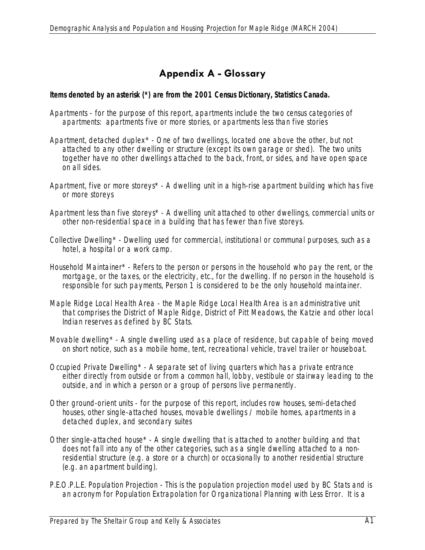# **Appendix A - Glossary**

#### *Items denoted by an asterisk (\*) are from the 2001 Census Dictionary, Statistics Canada.*

- Apartments for the purpose of this report, apartments include the two census categories of apartments: apartments five or more stories, or apartments less than five stories
- Apartment, detached duplex\* One of two dwellings, located one above the other, but not attached to any other dwelling or structure (except its own garage or shed). The two units together have no other dwellings attached to the back, front, or sides, and have open space on all sides.
- Apartment, five or more storeys\* A dwelling unit in a high-rise apartment building which has five or more storeys
- Apartment less than five storeys\* A dwelling unit attached to other dwellings, commercial units or other non-residential space in a building that has fewer than five storeys.
- Collective Dwelling\* Dwelling used for commercial, institutional or communal purposes, such as a hotel, a hospital or a work camp.
- Household Maintainer\* Refers to the person or persons in the household who pay the rent, or the mortgage, or the taxes, or the electricity, etc., for the dwelling. If no person in the household is responsible for such payments, Person 1 is considered to be the only household maintainer.
- Maple Ridge Local Health Area the Maple Ridge Local Health Area is an administrative unit that comprises the District of Maple Ridge, District of Pitt Meadows, the Katzie and other local Indian reserves as defined by BC Stats.
- Movable dwelling\* A single dwelling used as a place of residence, but capable of being moved on short notice, such as a mobile home, tent, recreational vehicle, travel trailer or houseboat.
- Occupied Private Dwelling\* A separate set of living quarters which has a private entrance either directly from outside or from a common hall, lobby, vestibule or stairway leading to the outside, and in which a person or a group of persons live permanently.
- Other ground-orient units for the purpose of this report, includes row houses, semi-detached houses, other single-attached houses, movable dwellings / mobile homes, apartments in a detached duplex, and secondary suites
- Other single-attached house\* A single dwelling that is attached to another building and that does not fall into any of the other categories, such as a single dwelling attached to a nonresidential structure (e.g. a store or a church) or occasionally to another residential structure (e.g. an apartment building).
- P.E.O.P.L.E. Population Projection This is the population projection model used by BC Stats and is an acronym for Population Extrapolation for Organizational Planning with Less Error. It is a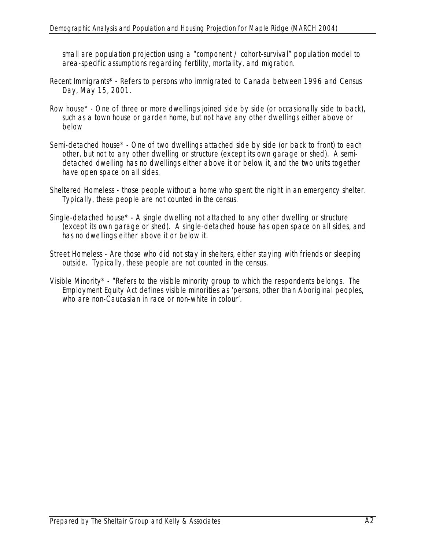small are population projection using a "component / cohort-survival" population model to area-specific assumptions regarding fertility, mortality, and migration.

- Recent Immigrants\* Refers to persons who immigrated to Canada between 1996 and Census Day, May 15, 2001.
- Row house\* One of three or more dwellings joined side by side (or occasionally side to back), such as a town house or garden home, but not have any other dwellings either above or below
- Semi-detached house\* One of two dwellings attached side by side (or back to front) to each other, but not to any other dwelling or structure (except its own garage or shed). A semidetached dwelling has no dwellings either above it or below it, and the two units together have open space on all sides.
- Sheltered Homeless those people without a home who spent the night in an emergency shelter. Typically, these people are not counted in the census.
- Single-detached house\* A single dwelling not attached to any other dwelling or structure (except its own garage or shed). A single-detached house has open space on all sides, and has no dwellings either above it or below it.
- Street Homeless Are those who did not stay in shelters, either staying with friends or sleeping outside. Typically, these people are not counted in the census.
- Visible Minority\* "Refers to the visible minority group to which the respondents belongs. The Employment Equity Act defines visible minorities as 'persons, other than Aboriginal peoples, who are non-Caucasian in race or non-white in colour'.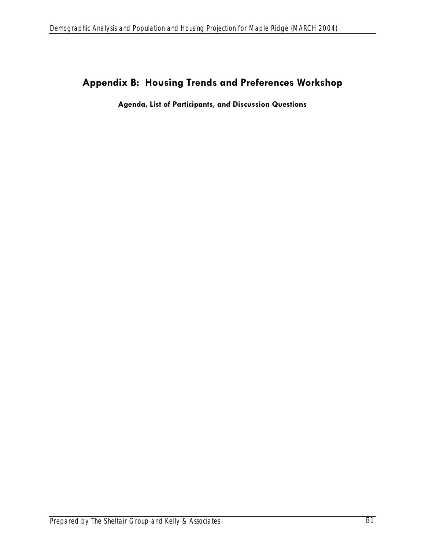# **Appendix B: Housing Trends and Preferences Workshop**

**Agenda, List of Participants, and Discussion Questions**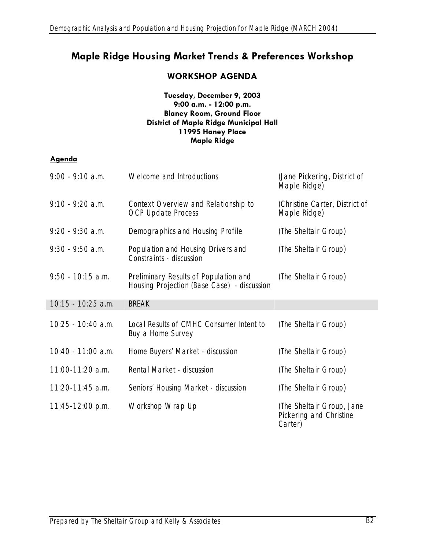# **Maple Ridge Housing Market Trends & Preferences Workshop**

# **WORKSHOP AGENDA**

#### **Tuesday, December 9, 2003 9:00 a.m. - 12:00 p.m. Blaney Room, Ground Floor District of Maple Ridge Municipal Hall 11995 Haney Place Maple Ridge**

#### **Agenda**

| $9:00 - 9:10$ a.m.   | Welcome and Introductions                                                            | (Jane Pickering, District of<br>Maple Ridge)                    |
|----------------------|--------------------------------------------------------------------------------------|-----------------------------------------------------------------|
| $9:10 - 9:20$ a.m.   | Context Overview and Relationship to<br><b>OCP Update Process</b>                    | (Christine Carter, District of<br>Maple Ridge)                  |
| $9:20 - 9:30$ a.m.   | Demographics and Housing Profile                                                     | (The Sheltair Group)                                            |
| $9:30 - 9:50$ a.m.   | Population and Housing Drivers and<br>Constraints - discussion                       | (The Sheltair Group)                                            |
| $9:50 - 10:15$ a.m.  | Preliminary Results of Population and<br>Housing Projection (Base Case) - discussion | (The Sheltair Group)                                            |
| 10:15 - 10:25 a.m.   | <b>BREAK</b>                                                                         |                                                                 |
| $10:25 - 10:40$ a.m. | Local Results of CMHC Consumer Intent to<br>Buy a Home Survey                        | (The Sheltair Group)                                            |
| 10:40 - 11:00 a.m.   | Home Buyers' Market - discussion                                                     | (The Sheltair Group)                                            |
| 11:00-11:20 a.m.     | Rental Market - discussion                                                           | (The Sheltair Group)                                            |
| $11:20-11:45$ a.m.   | Seniors' Housing Market - <i>discussion</i>                                          | (The Sheltair Group)                                            |
| 11:45-12:00 p.m.     | Workshop Wrap Up                                                                     | (The Sheltair Group, Jane<br>Pickering and Christine<br>Carter) |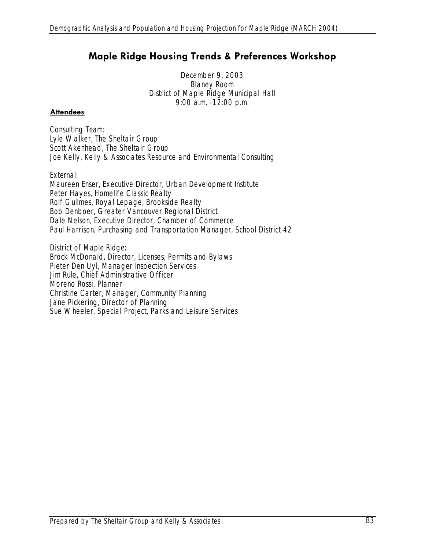# **Maple Ridge Housing Trends & Preferences Workshop**

December 9, 2003 Blaney Room District of Maple Ridge Municipal Hall 9:00 a.m. -12:00 p.m.

#### **Attendees**

*Consulting Team:*  Lyle Walker, The Sheltair Group Scott Akenhead, The Sheltair Group Joe Kelly, Kelly & Associates Resource and Environmental Consulting

#### *External:*

Maureen Enser, Executive Director, Urban Development Institute Peter Hayes, Homelife Classic Realty Rolf Gullmes, Royal Lepage, Brookside Realty Bob Denboer, Greater Vancouver Regional District Dale Nelson, Executive Director, Chamber of Commerce Paul Harrison, Purchasing and Transportation Manager, School District 42

*District of Maple Ridge:*  Brock McDonald, Director, Licenses, Permits and Bylaws Pieter Den Uyl, Manager Inspection Services Jim Rule, Chief Administrative Officer Moreno Rossi, Planner Christine Carter, Manager, Community Planning Jane Pickering, Director of Planning Sue Wheeler, Special Project, Parks and Leisure Services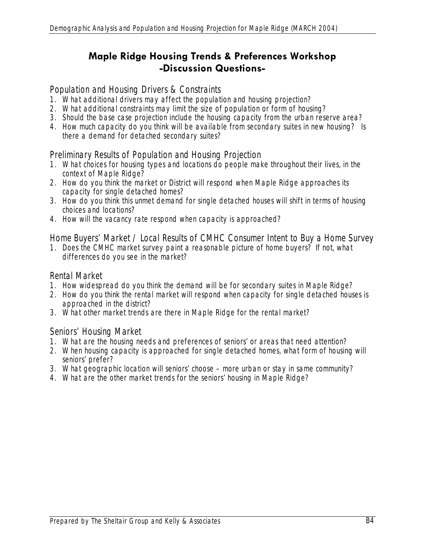# **Maple Ridge Housing Trends & Preferences Workshop -Discussion Questions-**

#### *Population and Housing Drivers & Constraints*

- 1. What additional drivers may affect the population and housing projection?
- 2. What additional constraints may limit the size of population or form of housing?
- 3. Should the base case projection include the housing capacity from the urban reserve area?
- 4. How much capacity do you think will be available from secondary suites in new housing? Is there a demand for detached secondary suites?

# *Preliminary Results of Population and Housing Projection*

- 1. What choices for housing types and locations do people make throughout their lives, in the context of Maple Ridge?
- 2. How do you think the market or District will respond when Maple Ridge approaches its capacity for single detached homes?
- 3. How do you think this unmet demand for single detached houses will shift in terms of housing choices and locations?
- 4. How will the vacancy rate respond when capacity is approached?

# *Home Buyers' Market / Local Results of CMHC Consumer Intent to Buy a Home Survey*

1. Does the CMHC market survey paint a reasonable picture of home buyers? If not, what differences do you see in the market?

### *Rental Market*

- 1. How widespread do you think the demand will be for secondary suites in Maple Ridge?
- 2. How do you think the rental market will respond when capacity for single detached houses is approached in the district?
- 3. What other market trends are there in Maple Ridge for the rental market?

### *Seniors' Housing Market*

- 1. What are the housing needs and preferences of seniors' or areas that need attention?
- 2. When housing capacity is approached for single detached homes, what form of housing will seniors' prefer?
- 3. What geographic location will seniors' choose more urban or stay in same community?
- 4. What are the other market trends for the seniors' housing in Maple Ridge?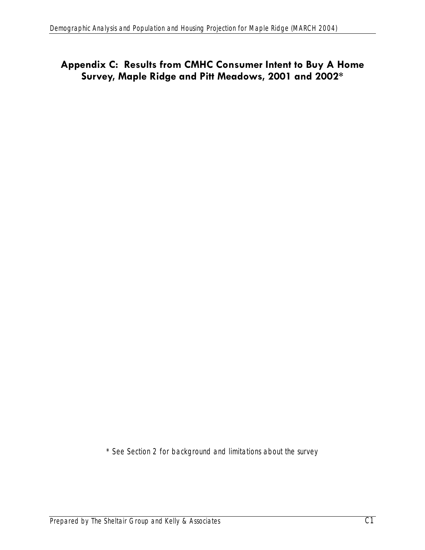# **Appendix C: Results from CMHC Consumer Intent to Buy A Home Survey, Maple Ridge and Pitt Meadows, 2001 and 2002\***

\* See Section 2 for background and limitations about the survey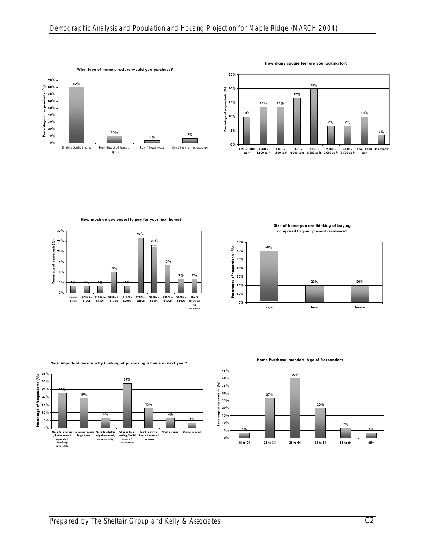

**How many square feet are you looking for?**



**How much do you expect to pay for your next home?**



**Size of home you are thinking of buying compared to your present residence?**



**Most important reason why thinking of puchasing a home in next year?**



**Home Purchase Intender: Age of Respondent**

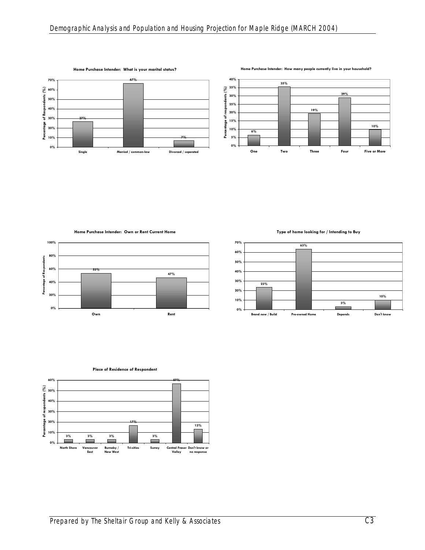

**Home Purchase Intender: How many people currently live in your household?**



**Home Purchase Intender: Own or Rent Current Home**



**Type of home looking for / Intending to Buy**





**Place of Residence of Respondent**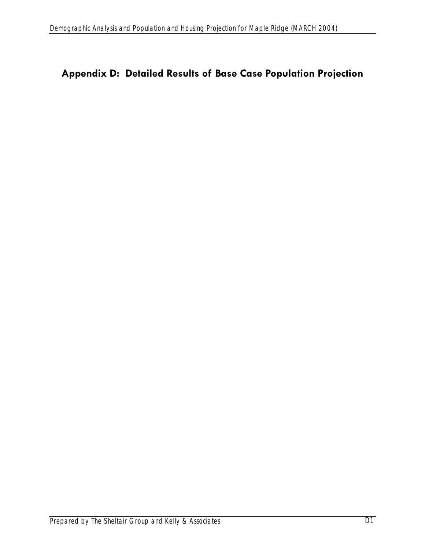# **Appendix D: Detailed Results of Base Case Population Projection**